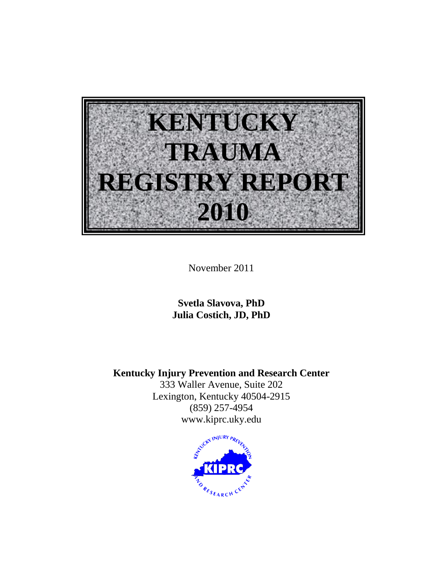

November 2011

**Svetla Slavova, PhD Julia Costich, JD, PhD**

**Kentucky Injury Prevention and Research Center**

333 Waller Avenue, Suite 202 Lexington, Kentucky 40504-2915 (859) 257-4954 www.kiprc.uky.edu

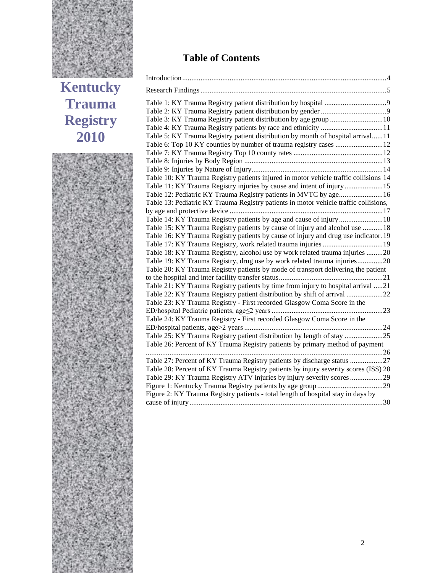

**Kentucky Trauma Registry 2010**



# **Table of Contents**

| Table 5: KY Trauma Registry patient distribution by month of hospital arrival11      |  |
|--------------------------------------------------------------------------------------|--|
|                                                                                      |  |
|                                                                                      |  |
|                                                                                      |  |
|                                                                                      |  |
| Table 10: KY Trauma Registry patients injured in motor vehicle traffic collisions 14 |  |
| Table 11: KY Trauma Registry injuries by cause and intent of injury15                |  |
| Table 12: Pediatric KY Trauma Registry patients in MVTC by age16                     |  |
| Table 13: Pediatric KY Trauma Registry patients in motor vehicle traffic collisions, |  |
|                                                                                      |  |
| Table 14: KY Trauma Registry patients by age and cause of injury 18                  |  |
| Table 15: KY Trauma Registry patients by cause of injury and alcohol use 18          |  |
| Table 16: KY Trauma Registry patients by cause of injury and drug use indicator.19   |  |
|                                                                                      |  |
| Table 18: KY Trauma Registry, alcohol use by work related trauma injuries 20         |  |
| Table 19: KY Trauma Registry, drug use by work related trauma injuries20             |  |
| Table 20: KY Trauma Registry patients by mode of transport delivering the patient    |  |
|                                                                                      |  |
| Table 21: KY Trauma Registry patients by time from injury to hospital arrival 21     |  |
| Table 22: KY Trauma Registry patient distribution by shift of arrival 22             |  |
| Table 23: KY Trauma Registry - First recorded Glasgow Coma Score in the              |  |
|                                                                                      |  |
| Table 24: KY Trauma Registry - First recorded Glasgow Coma Score in the              |  |
|                                                                                      |  |
| Table 25: KY Trauma Registry patient distribution by length of stay 25               |  |
| Table 26: Percent of KY Trauma Registry patients by primary method of payment        |  |
| Table 27: Percent of KY Trauma Registry patients by discharge status                 |  |
| Table 28: Percent of KY Trauma Registry patients by injury severity scores (ISS) 28  |  |
| Table 29: KY Trauma Registry ATV injuries by injury severity scores 29               |  |
|                                                                                      |  |
| Figure 2: KY Trauma Registry patients - total length of hospital stay in days by     |  |
|                                                                                      |  |
|                                                                                      |  |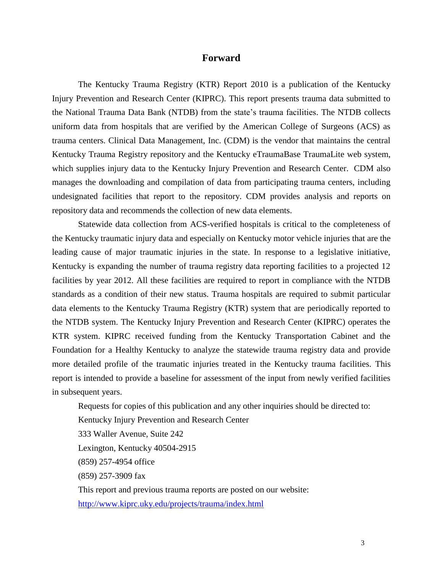### **Forward**

The Kentucky Trauma Registry (KTR) Report 2010 is a publication of the Kentucky Injury Prevention and Research Center (KIPRC). This report presents trauma data submitted to the National Trauma Data Bank (NTDB) from the state's trauma facilities. The NTDB collects uniform data from hospitals that are verified by the American College of Surgeons (ACS) as trauma centers. Clinical Data Management, Inc. (CDM) is the vendor that maintains the central Kentucky Trauma Registry repository and the Kentucky eTraumaBase TraumaLite web system, which supplies injury data to the Kentucky Injury Prevention and Research Center. CDM also manages the downloading and compilation of data from participating trauma centers, including undesignated facilities that report to the repository. CDM provides analysis and reports on repository data and recommends the collection of new data elements.

Statewide data collection from ACS-verified hospitals is critical to the completeness of the Kentucky traumatic injury data and especially on Kentucky motor vehicle injuries that are the leading cause of major traumatic injuries in the state. In response to a legislative initiative, Kentucky is expanding the number of trauma registry data reporting facilities to a projected 12 facilities by year 2012. All these facilities are required to report in compliance with the NTDB standards as a condition of their new status. Trauma hospitals are required to submit particular data elements to the Kentucky Trauma Registry (KTR) system that are periodically reported to the NTDB system. The Kentucky Injury Prevention and Research Center (KIPRC) operates the KTR system. KIPRC received funding from the Kentucky Transportation Cabinet and the Foundation for a Healthy Kentucky to analyze the statewide trauma registry data and provide more detailed profile of the traumatic injuries treated in the Kentucky trauma facilities. This report is intended to provide a baseline for assessment of the input from newly verified facilities in subsequent years.

Requests for copies of this publication and any other inquiries should be directed to: Kentucky Injury Prevention and Research Center 333 Waller Avenue, Suite 242 Lexington, Kentucky 40504-2915 (859) 257-4954 office (859) 257-3909 fax This report and previous trauma reports are posted on our website: <http://www.kiprc.uky.edu/projects/trauma/index.html>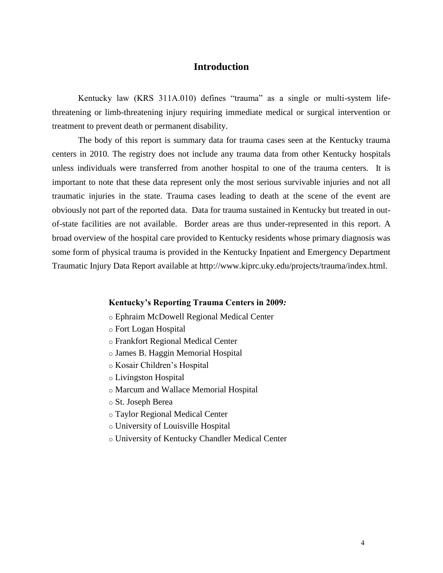### **Introduction**

<span id="page-3-0"></span>Kentucky law (KRS 311A.010) defines "trauma" as a single or multi-system lifethreatening or limb-threatening injury requiring immediate medical or surgical intervention or treatment to prevent death or permanent disability.

The body of this report is summary data for trauma cases seen at the Kentucky trauma centers in 2010. The registry does not include any trauma data from other Kentucky hospitals unless individuals were transferred from another hospital to one of the trauma centers. It is important to note that these data represent only the most serious survivable injuries and not all traumatic injuries in the state. Trauma cases leading to death at the scene of the event are obviously not part of the reported data. Data for trauma sustained in Kentucky but treated in outof-state facilities are not available. Border areas are thus under-represented in this report. A broad overview of the hospital care provided to Kentucky residents whose primary diagnosis was some form of physical trauma is provided in the Kentucky Inpatient and Emergency Department Traumatic Injury Data Report available at http://www.kiprc.uky.edu/projects/trauma/index.html.

#### **Kentucky's Reporting Trauma Centers in 2009***:*

- o Ephraim McDowell Regional Medical Center
- o Fort Logan Hospital
- o Frankfort Regional Medical Center
- o James B. Haggin Memorial Hospital
- o Kosair Children's Hospital
- o Livingston Hospital
- o Marcum and Wallace Memorial Hospital
- o St. Joseph Berea
- o Taylor Regional Medical Center
- o University of Louisville Hospital
- o University of Kentucky Chandler Medical Center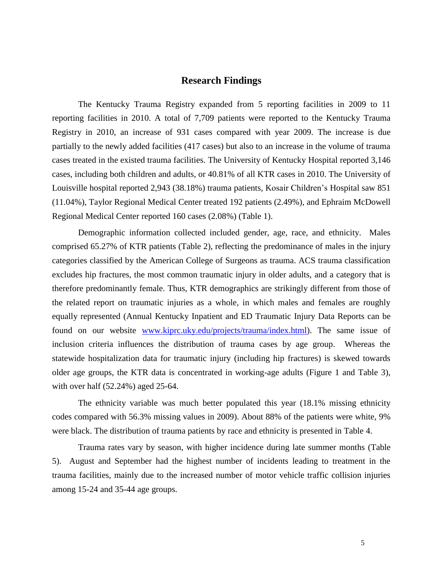#### **Research Findings**

<span id="page-4-0"></span>The Kentucky Trauma Registry expanded from 5 reporting facilities in 2009 to 11 reporting facilities in 2010. A total of 7,709 patients were reported to the Kentucky Trauma Registry in 2010, an increase of 931 cases compared with year 2009. The increase is due partially to the newly added facilities (417 cases) but also to an increase in the volume of trauma cases treated in the existed trauma facilities. The University of Kentucky Hospital reported 3,146 cases, including both children and adults, or 40.81% of all KTR cases in 2010. The University of Louisville hospital reported 2,943 (38.18%) trauma patients, Kosair Children's Hospital saw 851 (11.04%), Taylor Regional Medical Center treated 192 patients (2.49%), and Ephraim McDowell Regional Medical Center reported 160 cases (2.08%) (Table 1).

Demographic information collected included gender, age, race, and ethnicity. Males comprised 65.27% of KTR patients (Table 2), reflecting the predominance of males in the injury categories classified by the American College of Surgeons as trauma. ACS trauma classification excludes hip fractures, the most common traumatic injury in older adults, and a category that is therefore predominantly female. Thus, KTR demographics are strikingly different from those of the related report on traumatic injuries as a whole, in which males and females are roughly equally represented (Annual Kentucky Inpatient and ED Traumatic Injury Data Reports can be found on our website [www.kiprc.uky.edu/projects/trauma/index.html\)](http://www.kiprc.uky.edu/projects/trauma/index.html). The same issue of inclusion criteria influences the distribution of trauma cases by age group. Whereas the statewide hospitalization data for traumatic injury (including hip fractures) is skewed towards older age groups, the KTR data is concentrated in working-age adults (Figure 1 and Table 3), with over half (52.24%) aged 25-64.

The ethnicity variable was much better populated this year (18.1% missing ethnicity codes compared with 56.3% missing values in 2009). About 88% of the patients were white, 9% were black. The distribution of trauma patients by race and ethnicity is presented in Table 4.

Trauma rates vary by season, with higher incidence during late summer months (Table 5). August and September had the highest number of incidents leading to treatment in the trauma facilities, mainly due to the increased number of motor vehicle traffic collision injuries among 15-24 and 35-44 age groups.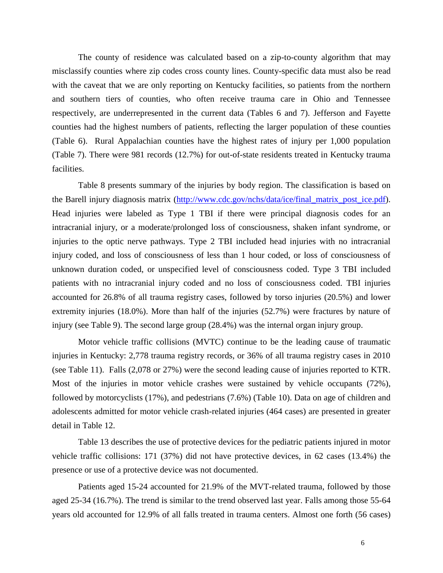The county of residence was calculated based on a zip-to-county algorithm that may misclassify counties where zip codes cross county lines. County-specific data must also be read with the caveat that we are only reporting on Kentucky facilities, so patients from the northern and southern tiers of counties, who often receive trauma care in Ohio and Tennessee respectively, are underrepresented in the current data (Tables 6 and 7). Jefferson and Fayette counties had the highest numbers of patients, reflecting the larger population of these counties (Table 6). Rural Appalachian counties have the highest rates of injury per 1,000 population (Table 7). There were 981 records (12.7%) for out-of-state residents treated in Kentucky trauma facilities.

Table 8 presents summary of the injuries by body region. The classification is based on the Barell injury diagnosis matrix [\(http://www.cdc.gov/nchs/data/ice/final\\_matrix\\_post\\_ice.pdf\)](http://www.cdc.gov/nchs/data/ice/final_matrix_post_ice.pdf). Head injuries were labeled as Type 1 TBI if there were principal diagnosis codes for an intracranial injury, or a moderate/prolonged loss of consciousness, shaken infant syndrome, or injuries to the optic nerve pathways. Type 2 TBI included head injuries with no intracranial injury coded, and loss of consciousness of less than 1 hour coded, or loss of consciousness of unknown duration coded, or unspecified level of consciousness coded. Type 3 TBI included patients with no intracranial injury coded and no loss of consciousness coded. TBI injuries accounted for 26.8% of all trauma registry cases, followed by torso injuries (20.5%) and lower extremity injuries (18.0%). More than half of the injuries (52.7%) were fractures by nature of injury (see Table 9). The second large group (28.4%) was the internal organ injury group.

Motor vehicle traffic collisions (MVTC) continue to be the leading cause of traumatic injuries in Kentucky: 2,778 trauma registry records, or 36% of all trauma registry cases in 2010 (see Table 11). Falls (2,078 or 27%) were the second leading cause of injuries reported to KTR. Most of the injuries in motor vehicle crashes were sustained by vehicle occupants (72%), followed by motorcyclists (17%), and pedestrians (7.6%) (Table 10). Data on age of children and adolescents admitted for motor vehicle crash-related injuries (464 cases) are presented in greater detail in Table 12.

Table 13 describes the use of protective devices for the pediatric patients injured in motor vehicle traffic collisions: 171 (37%) did not have protective devices, in 62 cases (13.4%) the presence or use of a protective device was not documented.

Patients aged 15-24 accounted for 21.9% of the MVT-related trauma, followed by those aged 25-34 (16.7%). The trend is similar to the trend observed last year. Falls among those 55-64 years old accounted for 12.9% of all falls treated in trauma centers. Almost one forth (56 cases)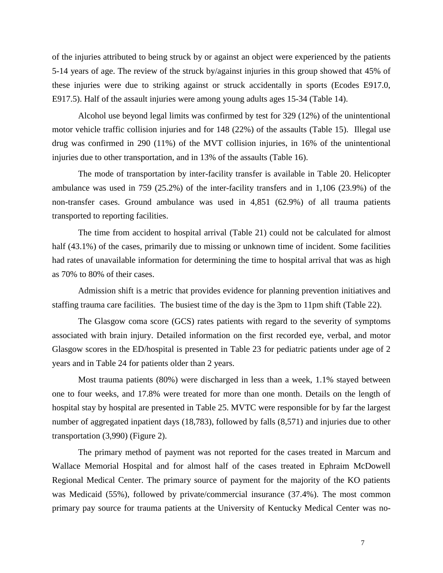of the injuries attributed to being struck by or against an object were experienced by the patients 5-14 years of age. The review of the struck by/against injuries in this group showed that 45% of these injuries were due to striking against or struck accidentally in sports (Ecodes E917.0, E917.5). Half of the assault injuries were among young adults ages 15-34 (Table 14).

Alcohol use beyond legal limits was confirmed by test for 329 (12%) of the unintentional motor vehicle traffic collision injuries and for 148 (22%) of the assaults (Table 15). Illegal use drug was confirmed in 290 (11%) of the MVT collision injuries, in 16% of the unintentional injuries due to other transportation, and in 13% of the assaults (Table 16).

The mode of transportation by inter-facility transfer is available in Table 20. Helicopter ambulance was used in 759 (25.2%) of the inter-facility transfers and in 1,106 (23.9%) of the non-transfer cases. Ground ambulance was used in 4,851 (62.9%) of all trauma patients transported to reporting facilities.

The time from accident to hospital arrival (Table 21) could not be calculated for almost half (43.1%) of the cases, primarily due to missing or unknown time of incident. Some facilities had rates of unavailable information for determining the time to hospital arrival that was as high as 70% to 80% of their cases.

Admission shift is a metric that provides evidence for planning prevention initiatives and staffing trauma care facilities. The busiest time of the day is the 3pm to 11pm shift (Table 22).

The Glasgow coma score (GCS) rates patients with regard to the severity of symptoms associated with brain injury. Detailed information on the first recorded eye, verbal, and motor Glasgow scores in the ED/hospital is presented in Table 23 for pediatric patients under age of 2 years and in Table 24 for patients older than 2 years.

Most trauma patients (80%) were discharged in less than a week, 1.1% stayed between one to four weeks, and 17.8% were treated for more than one month. Details on the length of hospital stay by hospital are presented in Table 25. MVTC were responsible for by far the largest number of aggregated inpatient days (18,783), followed by falls (8,571) and injuries due to other transportation (3,990) (Figure 2).

The primary method of payment was not reported for the cases treated in Marcum and Wallace Memorial Hospital and for almost half of the cases treated in Ephraim McDowell Regional Medical Center. The primary source of payment for the majority of the KO patients was Medicaid (55%), followed by private/commercial insurance (37.4%). The most common primary pay source for trauma patients at the University of Kentucky Medical Center was no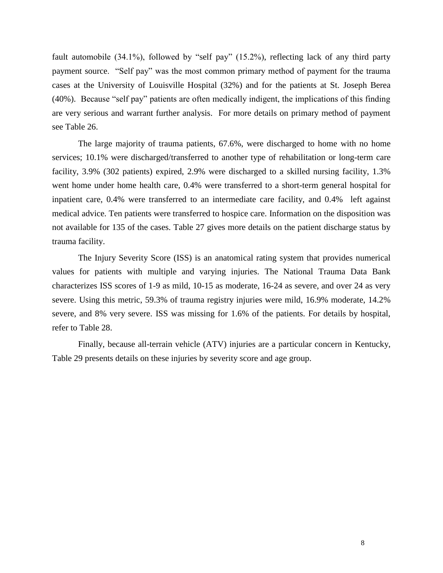fault automobile (34.1%), followed by "self pay" (15.2%), reflecting lack of any third party payment source. "Self pay" was the most common primary method of payment for the trauma cases at the University of Louisville Hospital (32%) and for the patients at St. Joseph Berea (40%). Because "self pay" patients are often medically indigent, the implications of this finding are very serious and warrant further analysis. For more details on primary method of payment see Table 26.

The large majority of trauma patients, 67.6%, were discharged to home with no home services; 10.1% were discharged/transferred to another type of rehabilitation or long-term care facility, 3.9% (302 patients) expired, 2.9% were discharged to a skilled nursing facility, 1.3% went home under home health care, 0.4% were transferred to a short-term general hospital for inpatient care, 0.4% were transferred to an intermediate care facility, and 0.4% left against medical advice. Ten patients were transferred to hospice care. Information on the disposition was not available for 135 of the cases. Table 27 gives more details on the patient discharge status by trauma facility.

The Injury Severity Score (ISS) is an anatomical rating system that provides numerical values for patients with multiple and varying injuries. The National Trauma Data Bank characterizes ISS scores of 1-9 as mild, 10-15 as moderate, 16-24 as severe, and over 24 as very severe. Using this metric, 59.3% of trauma registry injuries were mild, 16.9% moderate, 14.2% severe, and 8% very severe. ISS was missing for 1.6% of the patients. For details by hospital, refer to Table 28.

Finally, because all-terrain vehicle (ATV) injuries are a particular concern in Kentucky, Table 29 presents details on these injuries by severity score and age group.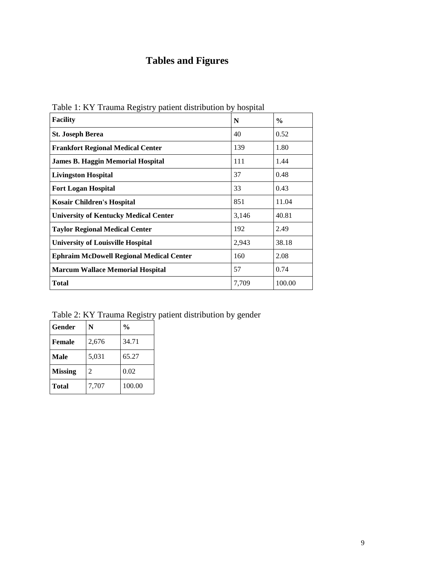# **Tables and Figures**

| Table 1. IVT Traditia Registry patient distribution by hospital<br><b>Facility</b> | N     | $\frac{6}{9}$ |
|------------------------------------------------------------------------------------|-------|---------------|
| <b>St. Joseph Berea</b>                                                            | 40    | 0.52          |
| <b>Frankfort Regional Medical Center</b>                                           | 139   | 1.80          |
| James B. Haggin Memorial Hospital                                                  | 111   | 1.44          |
| <b>Livingston Hospital</b>                                                         | 37    | 0.48          |
| <b>Fort Logan Hospital</b>                                                         | 33    | 0.43          |
| <b>Kosair Children's Hospital</b>                                                  | 851   | 11.04         |
| <b>University of Kentucky Medical Center</b>                                       | 3,146 | 40.81         |
| <b>Taylor Regional Medical Center</b>                                              | 192   | 2.49          |
| <b>University of Louisville Hospital</b>                                           | 2,943 | 38.18         |
| <b>Ephraim McDowell Regional Medical Center</b>                                    | 160   | 2.08          |
| <b>Marcum Wallace Memorial Hospital</b>                                            | 57    | 0.74          |
| <b>Total</b>                                                                       | 7,709 | 100.00        |

<span id="page-8-0"></span>Table 1: KY Trauma Registry patient distribution by hospital

<span id="page-8-1"></span>Table 2: KY Trauma Registry patient distribution by gender

| Gender         | N     | $\frac{0}{0}$ |
|----------------|-------|---------------|
| <b>Female</b>  | 2,676 | 34.71         |
| Male           | 5,031 | 65.27         |
| <b>Missing</b> | 2     | 0.02          |
| <b>Total</b>   | 7,707 | 100.00        |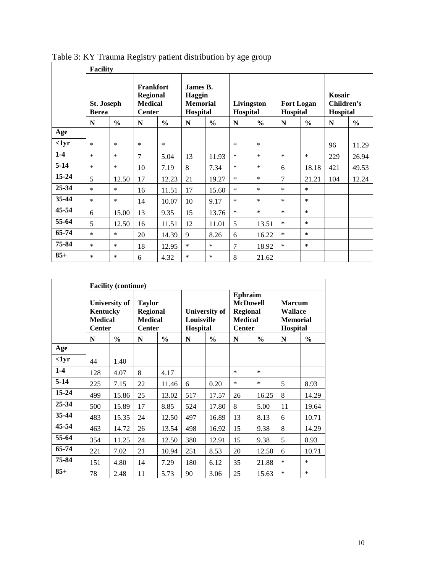|           | <b>Facility</b>                   |               |                                                                        |               |                                                   |               |                        |               |                               |               |                                                |               |
|-----------|-----------------------------------|---------------|------------------------------------------------------------------------|---------------|---------------------------------------------------|---------------|------------------------|---------------|-------------------------------|---------------|------------------------------------------------|---------------|
|           | <b>St. Joseph</b><br><b>Berea</b> |               | <b>Frankfort</b><br><b>Regional</b><br><b>Medical</b><br><b>Center</b> |               | James B.<br>Haggin<br><b>Memorial</b><br>Hospital |               | Livingston<br>Hospital |               | <b>Fort Logan</b><br>Hospital |               | Kosair<br><b>Children's</b><br><b>Hospital</b> |               |
|           | N                                 | $\frac{0}{0}$ | N                                                                      | $\frac{6}{6}$ | N                                                 | $\frac{0}{0}$ | N                      | $\frac{6}{6}$ | N                             | $\frac{6}{6}$ | N                                              | $\frac{6}{6}$ |
| Age       |                                   |               |                                                                        |               |                                                   |               |                        |               |                               |               |                                                |               |
| $1yr$     | $\ast$                            | $\ast$        | $\ast$                                                                 | $\ast$        |                                                   |               | $\ast$                 | *             |                               |               | 96                                             | 11.29         |
| $1-4$     | *                                 | $\ast$        | $\overline{7}$                                                         | 5.04          | 13                                                | 11.93         | $\ast$                 | *             | $\ast$                        | $\ast$        | 229                                            | 26.94         |
| $5-14$    | *                                 | $\ast$        | 10                                                                     | 7.19          | 8                                                 | 7.34          | $\ast$                 | *             | 6                             | 18.18         | 421                                            | 49.53         |
| 15-24     | 5                                 | 12.50         | 17                                                                     | 12.23         | 21                                                | 19.27         | $\ast$                 | *             | 7                             | 21.21         | 104                                            | 12.24         |
| 25-34     | $\ast$                            | $\ast$        | 16                                                                     | 11.51         | 17                                                | 15.60         | $\ast$                 | *             | $\ast$                        | $\ast$        |                                                |               |
| $35 - 44$ | $\ast$                            | $\ast$        | 14                                                                     | 10.07         | 10                                                | 9.17          | $\ast$                 | *             | $\ast$                        | $\ast$        |                                                |               |
| $45 - 54$ | 6                                 | 15.00         | 13                                                                     | 9.35          | 15                                                | 13.76         | $\ast$                 | $\ast$        | $\ast$                        | $\ast$        |                                                |               |
| 55-64     | 5                                 | 12.50         | 16                                                                     | 11.51         | 12                                                | 11.01         | 5                      | 13.51         | $\ast$                        | $\ast$        |                                                |               |
| 65-74     | $\ast$                            | $\ast$        | 20                                                                     | 14.39         | 9                                                 | 8.26          | 6                      | 16.22         | $\ast$                        | $\ast$        |                                                |               |
| 75-84     | $\ast$                            | *             | 18                                                                     | 12.95         | $\ast$                                            | *             | $\overline{7}$         | 18.92         | $\ast$                        | $\ast$        |                                                |               |
| $85+$     | *                                 | $\ast$        | 6                                                                      | 4.32          | $\ast$                                            | $\ast$        | 8                      | 21.62         |                               |               |                                                |               |

<span id="page-9-0"></span>Table 3: KY Trauma Registry patient distribution by age group

|           | <b>Facility (continue)</b>                  |               |                                                                                             |               |                                         |               |                                                                                         |               |                                                                |               |  |
|-----------|---------------------------------------------|---------------|---------------------------------------------------------------------------------------------|---------------|-----------------------------------------|---------------|-----------------------------------------------------------------------------------------|---------------|----------------------------------------------------------------|---------------|--|
|           | Kentucky<br><b>Medical</b><br><b>Center</b> |               | <b>University of</b><br><b>Taylor</b><br><b>Regional</b><br><b>Medical</b><br><b>Center</b> |               | University of<br>Louisville<br>Hospital |               | <b>Ephraim</b><br><b>McDowell</b><br><b>Regional</b><br><b>Medical</b><br><b>Center</b> |               | <b>Marcum</b><br><b>Wallace</b><br><b>Memorial</b><br>Hospital |               |  |
|           | N                                           | $\frac{0}{0}$ | N                                                                                           | $\frac{6}{9}$ | N                                       | $\frac{0}{0}$ | N                                                                                       | $\frac{6}{6}$ | N                                                              | $\frac{6}{9}$ |  |
| Age       |                                             |               |                                                                                             |               |                                         |               |                                                                                         |               |                                                                |               |  |
| $-1yr$    | 44                                          | 1.40          |                                                                                             |               |                                         |               |                                                                                         |               |                                                                |               |  |
| $1-4$     | 128                                         | 4.07          | 8                                                                                           | 4.17          |                                         |               | $\ast$                                                                                  | $\ast$        |                                                                |               |  |
| $5-14$    | 225                                         | 7.15          | 22                                                                                          | 11.46         | 6                                       | 0.20          | $\ast$                                                                                  | $\ast$        | 5                                                              | 8.93          |  |
| $15 - 24$ | 499                                         | 15.86         | 25                                                                                          | 13.02         | 517                                     | 17.57         | 26                                                                                      | 16.25         | 8                                                              | 14.29         |  |
| 25-34     | 500                                         | 15.89         | 17                                                                                          | 8.85          | 524                                     | 17.80         | 8                                                                                       | 5.00          | 11                                                             | 19.64         |  |
| 35-44     | 483                                         | 15.35         | 24                                                                                          | 12.50         | 497                                     | 16.89         | 13                                                                                      | 8.13          | 6                                                              | 10.71         |  |
| 45-54     | 463                                         | 14.72         | 26                                                                                          | 13.54         | 498                                     | 16.92         | 15                                                                                      | 9.38          | 8                                                              | 14.29         |  |
| 55-64     | 354                                         | 11.25         | 24                                                                                          | 12.50         | 380                                     | 12.91         | 15                                                                                      | 9.38          | 5                                                              | 8.93          |  |
| 65-74     | 221                                         | 7.02          | 21                                                                                          | 10.94         | 251                                     | 8.53          | 20                                                                                      | 12.50         | 6                                                              | 10.71         |  |
| 75-84     | 151                                         | 4.80          | 14                                                                                          | 7.29          | 180                                     | 6.12          | 35                                                                                      | 21.88         | $\ast$                                                         | $\ast$        |  |
| $85+$     | 78                                          | 2.48          | 11                                                                                          | 5.73          | 90                                      | 3.06          | 25                                                                                      | 15.63         | *                                                              | $\ast$        |  |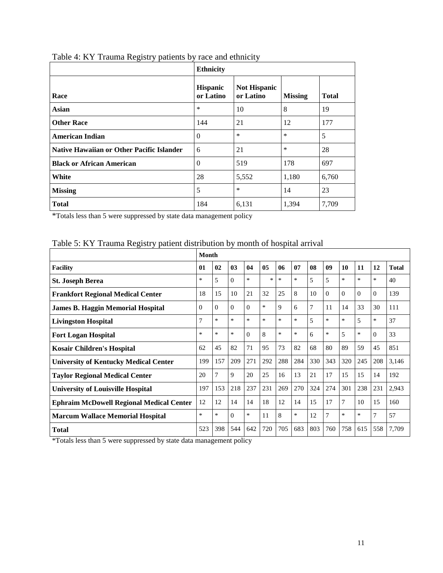|                                                  | <b>Ethnicity</b>             |                                  |                |              |  |  |  |
|--------------------------------------------------|------------------------------|----------------------------------|----------------|--------------|--|--|--|
| Race                                             | <b>Hispanic</b><br>or Latino | <b>Not Hispanic</b><br>or Latino | <b>Missing</b> | <b>Total</b> |  |  |  |
| <b>Asian</b>                                     | $\ast$                       | 10                               | 8              | 19           |  |  |  |
| <b>Other Race</b>                                | 144                          | 21                               | 12             | 177          |  |  |  |
| <b>American Indian</b>                           | $\Omega$                     | $\ast$                           | $\ast$         | 5            |  |  |  |
| <b>Native Hawaiian or Other Pacific Islander</b> | 6                            | 21                               | $\ast$         | 28           |  |  |  |
| <b>Black or African American</b>                 | $\theta$                     | 519                              | 178            | 697          |  |  |  |
| White                                            | 28                           | 5,552                            | 1,180          | 6,760        |  |  |  |
| <b>Missing</b>                                   | 5                            | $\ast$                           | 14             | 23           |  |  |  |
| <b>Total</b>                                     | 184                          | 6,131                            | 1,394          | 7,709        |  |  |  |

<span id="page-10-0"></span>

| Table 4: KY Trauma Registry patients by race and ethnicity |  |  |
|------------------------------------------------------------|--|--|
|                                                            |  |  |

|                                                 | <b>Month</b> |          |          |          |        |        |        |                |          |          |          |          |              |
|-------------------------------------------------|--------------|----------|----------|----------|--------|--------|--------|----------------|----------|----------|----------|----------|--------------|
| <b>Facility</b>                                 | 01           | 02       | 03       | 04       | 05     | 06     | 07     | 08             | 09       | 10       | 11       | 12       | <b>Total</b> |
| <b>St. Joseph Berea</b>                         | *            | 5        | $\Omega$ | $\ast$   | *      | $\ast$ | *      | 5              | 5        | $\ast$   | $\ast$   | *        | 40           |
| <b>Frankfort Regional Medical Center</b>        | 18           | 15       | 10       | 21       | 32     | 25     | 8      | 10             | $\Omega$ | $\Omega$ | $\Omega$ | $\Omega$ | 139          |
| <b>James B. Haggin Memorial Hospital</b>        | $\Omega$     | $\Omega$ | $\Omega$ | $\Omega$ | *      | 9      | 6      | $\overline{7}$ | 11       | 14       | 33       | 30       | 111          |
| <b>Livingston Hospital</b>                      | 7            | $\ast$   | $\ast$   | $\ast$   | $\ast$ | $\ast$ | *      | 5              | $\ast$   | *        | 5        | *        | 37           |
| <b>Fort Logan Hospital</b>                      | $\ast$       | $\ast$   | $\ast$   | $\Omega$ | 8      | $\ast$ | $\ast$ | 6              | $\ast$   | 5        | $\ast$   | $\Omega$ | 33           |
| <b>Kosair Children's Hospital</b>               | 62           | 45       | 82       | 71       | 95     | 73     | 82     | 68             | 80       | 89       | 59       | 45       | 851          |
| <b>University of Kentucky Medical Center</b>    | 199          | 157      | 209      | 271      | 292    | 288    | 284    | 330            | 343      | 320      | 245      | 208      | 3,146        |
| <b>Taylor Regional Medical Center</b>           | 20           | 7        | 9        | 20       | 25     | 16     | 13     | 21             | 17       | 15       | 15       | 14       | 192          |
| <b>University of Louisville Hospital</b>        | 197          | 153      | 218      | 237      | 231    | 269    | 270    | 324            | 274      | 301      | 238      | 231      | 2,943        |
| <b>Ephraim McDowell Regional Medical Center</b> | 12           | 12       | 14       | 14       | 18     | 12     | 14     | 15             | 17       | 7        | 10       | 15       | 160          |
| Marcum Wallace Memorial Hospital                | *            | *        | $\theta$ | $\ast$   | 11     | 8      | *      | 12             | 7        | $\ast$   | *        | 7        | 57           |
| <b>Total</b>                                    | 523          | 398      | 544      | 642      | 720    | 705    | 683    | 803            | 760      | 758      | 615      | 558      | 7,709        |

## <span id="page-10-1"></span>Table 5: KY Trauma Registry patient distribution by month of hospital arrival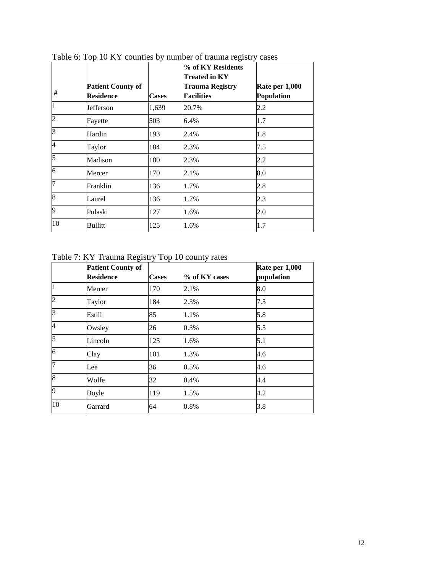| #              | <b>Patient County of</b><br><b>Residence</b> | <b>Cases</b> | % of KY Residents<br><b>Treated in KY</b><br><b>Trauma Registry</b><br><b>Facilities</b> | Rate per 1,000<br>Population |
|----------------|----------------------------------------------|--------------|------------------------------------------------------------------------------------------|------------------------------|
| $\mathbf{1}$   | Jefferson                                    | 1,639        | 20.7%                                                                                    | 2.2                          |
| $\overline{c}$ | Fayette                                      | 503          | 6.4%                                                                                     | 1.7                          |
| $\overline{3}$ | Hardin                                       | 193          | 2.4%                                                                                     | 1.8                          |
| $\overline{4}$ | Taylor                                       | 184          | 2.3%                                                                                     | 7.5                          |
| 5              | Madison                                      | 180          | 2.3%                                                                                     | 2.2                          |
| 6              | Mercer                                       | 170          | 2.1%                                                                                     | 8.0                          |
| $\overline{7}$ | Franklin                                     | 136          | 1.7%                                                                                     | 2.8                          |
| 8              | Laurel                                       | 136          | 1.7%                                                                                     | 2.3                          |
| 9              | Pulaski                                      | 127          | 1.6%                                                                                     | 2.0                          |
| 10             | Bullitt                                      | 125          | 1.6%                                                                                     | 1.7                          |

<span id="page-11-0"></span>Table 6: Top 10 KY counties by number of trauma registry cases

<span id="page-11-1"></span>Table 7: KY Trauma Registry Top 10 county rates

|                | <b>Patient County of</b><br><b>Residence</b> | <b>Cases</b> | % of KY cases | Rate per 1,000<br>population |
|----------------|----------------------------------------------|--------------|---------------|------------------------------|
| $\overline{1}$ | Mercer                                       | 170          | 2.1%          | 8.0                          |
| $\overline{c}$ | Taylor                                       | 184          | 2.3%          | 7.5                          |
| 3              | Estill                                       | 85           | 1.1%          | 5.8                          |
| $\overline{4}$ | Owsley                                       | 26           | 0.3%          | 5.5                          |
| 5              | Lincoln                                      | 125          | 1.6%          | 5.1                          |
| 6              | Clay                                         | 101          | 1.3%          | 4.6                          |
| 7              | Lee                                          | 36           | 0.5%          | 4.6                          |
| $\overline{8}$ | Wolfe                                        | 32           | 0.4%          | 4.4                          |
| 9              | Boyle                                        | 119          | 1.5%          | 4.2                          |
| 10             | Garrard                                      | 64           | 0.8%          | 3.8                          |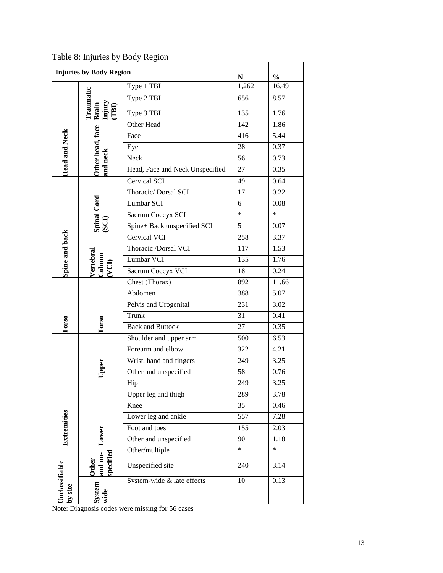|                           | <b>Injuries by Body Region</b>                            | ${\bf N}$                       | $\frac{0}{0}$ |        |
|---------------------------|-----------------------------------------------------------|---------------------------------|---------------|--------|
|                           |                                                           | Type 1 TBI                      | 1,262         | 16.49  |
| <b>Head and Neck</b>      | <b>Traumatic</b>                                          | Type 2 TBI                      | 656           | 8.57   |
|                           | Brain<br>Injury<br>(TBI)                                  | Type 3 TBI                      | 135           | 1.76   |
|                           |                                                           | Other Head                      | 142           | 1.86   |
|                           | Other head, face                                          | Face                            | 416           | 5.44   |
|                           |                                                           | Eye                             | 28            | 0.37   |
|                           | and neck                                                  | Neck                            | 56            | 0.73   |
|                           |                                                           | Head, Face and Neck Unspecified | 27            | 0.35   |
|                           |                                                           | <b>Cervical SCI</b>             | 49            | 0.64   |
|                           |                                                           | Thoracic/Dorsal SCI             | 17            | 0.22   |
|                           |                                                           | Lumbar SCI                      | 6             | 0.08   |
|                           |                                                           | Sacrum Coccyx SCI               | $\ast$        | $\ast$ |
|                           | Spinal Cord<br>(SCI)                                      | Spine+ Back unspecified SCI     | 5             | 0.07   |
|                           |                                                           | Cervical VCI                    | 258           | 3.37   |
|                           |                                                           | Thoracic /Dorsal VCI            | 117           | 1.53   |
|                           | $\frac{\text{Vertical}}{\text{Column}}$<br>$(\text{VCI})$ | Lumbar VCI                      | 135           | 1.76   |
| Spine and back            |                                                           | Sacrum Coccyx VCI               | 18            | 0.24   |
|                           |                                                           | Chest (Thorax)                  | 892           | 11.66  |
|                           |                                                           | Abdomen                         | 388           | 5.07   |
|                           |                                                           | Pelvis and Urogenital           | 231           | 3.02   |
|                           |                                                           | Trunk                           | 31            | 0.41   |
| <b>Lorso</b>              | <b>Torso</b>                                              | <b>Back and Buttock</b>         | 27            | 0.35   |
|                           |                                                           | Shoulder and upper arm          | 500           | 6.53   |
|                           |                                                           | Forearm and elbow               | 322           | 4.21   |
|                           |                                                           | Wrist, hand and fingers         | 249           | 3.25   |
|                           | Upper                                                     | Other and unspecified           | 58            | 0.76   |
|                           |                                                           | Hip                             | 249           | 3.25   |
|                           |                                                           | Upper leg and thigh             | 289           | 3.78   |
|                           |                                                           | Knee                            | 35            | 0.46   |
| Extremities               |                                                           | Lower leg and ankle             | 557           | 7.28   |
|                           | <b>LOWET</b>                                              | Foot and toes                   | 155           | 2.03   |
|                           |                                                           | Other and unspecified           | 90            | 1.18   |
|                           |                                                           | Other/multiple                  | $\ast$        | $\ast$ |
|                           | specified<br>and un-<br>Other                             | <b>Unspecified</b> site         | 240           | 3.14   |
| Unclassifiable<br>by site | System<br>wide                                            | System-wide & late effects      | 10            | 0.13   |

<span id="page-12-0"></span>Table 8: Injuries by Body Region

Note: Diagnosis codes were missing for 56 cases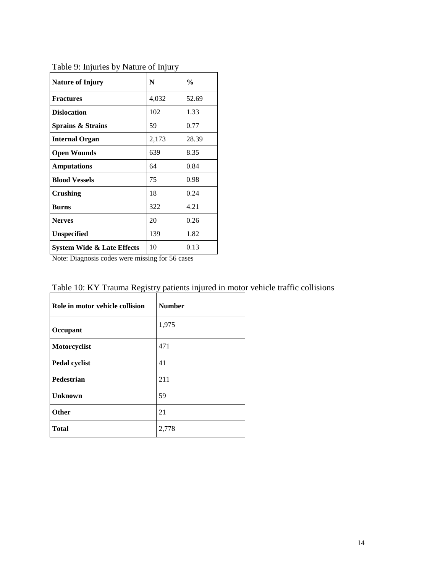| <b>Nature of Injury</b>    | N     | $\frac{0}{0}$ |
|----------------------------|-------|---------------|
| <b>Fractures</b>           | 4,032 | 52.69         |
| <b>Dislocation</b>         | 102   | 1.33          |
| Sprains & Strains          | 59    | 0.77          |
| <b>Internal Organ</b>      | 2,173 | 28.39         |
| Open Wounds                | 639   | 8.35          |
| <b>Amputations</b>         | 64    | 0.84          |
| <b>Blood Vessels</b>       | 75    | 0.98          |
| Crushing                   | 18    | 0.24          |
| <b>Burns</b>               | 322   | 4.21          |
| <b>Nerves</b>              | 20    | 0.26          |
| <b>Unspecified</b>         | 139   | 1.82          |
| System Wide & Late Effects | 10    | 0.13          |

<span id="page-13-0"></span>Table 9: Injuries by Nature of Injury

Note: Diagnosis codes were missing for 56 cases

| Role in motor vehicle collision | <b>Number</b> |
|---------------------------------|---------------|
| Occupant                        | 1,975         |
| Motorcyclist                    | 471           |
| Pedal cyclist                   | 41            |
| Pedestrian                      | 211           |
| <b>Unknown</b>                  | 59            |
| Other                           | 21            |
| <b>Total</b>                    | 2,778         |

<span id="page-13-1"></span>Table 10: KY Trauma Registry patients injured in motor vehicle traffic collisions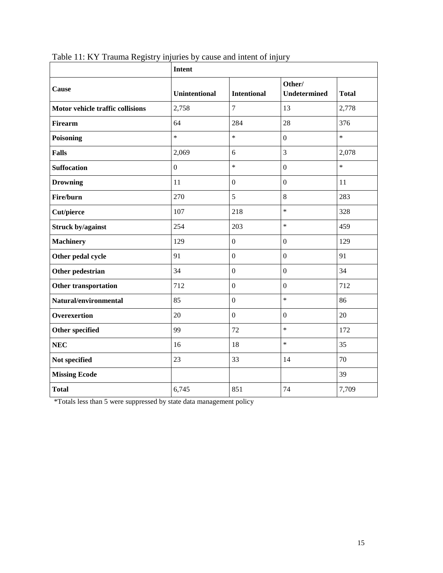|                                  | <b>Intent</b>        |                    |                               |              |  |  |
|----------------------------------|----------------------|--------------------|-------------------------------|--------------|--|--|
| Cause                            | <b>Unintentional</b> | <b>Intentional</b> | Other/<br><b>Undetermined</b> | <b>Total</b> |  |  |
| Motor vehicle traffic collisions | 2,758                | $\overline{7}$     | 13                            | 2,778        |  |  |
| <b>Firearm</b>                   | 64                   | 284                | 28                            | 376          |  |  |
| <b>Poisoning</b>                 | $\ast$               | $\ast$             | $\overline{0}$                | $\ast$       |  |  |
| <b>Falls</b>                     | 2,069                | 6                  | $\overline{3}$                | 2,078        |  |  |
| <b>Suffocation</b>               | $\overline{0}$       | $\ast$             | $\overline{0}$                | $\ast$       |  |  |
| <b>Drowning</b>                  | 11                   | $\boldsymbol{0}$   | $\overline{0}$                | 11           |  |  |
| Fire/burn                        | 270                  | 5                  | 8                             | 283          |  |  |
| <b>Cut/pierce</b>                | 107                  | 218                | $\ast$                        | 328          |  |  |
| <b>Struck by/against</b>         | 254                  | 203                | $\ast$                        | 459          |  |  |
| <b>Machinery</b>                 | 129                  | $\overline{0}$     | $\overline{0}$                | 129          |  |  |
| Other pedal cycle                | 91                   | $\boldsymbol{0}$   | $\overline{0}$                | 91           |  |  |
| Other pedestrian                 | 34                   | $\overline{0}$     | $\mathbf{0}$                  | 34           |  |  |
| <b>Other transportation</b>      | 712                  | $\boldsymbol{0}$   | $\boldsymbol{0}$              | 712          |  |  |
| Natural/environmental            | 85                   | $\boldsymbol{0}$   | $\ast$                        | 86           |  |  |
| <b>Overexertion</b>              | 20                   | $\overline{0}$     | $\overline{0}$                | 20           |  |  |
| <b>Other specified</b>           | 99                   | 72                 | $\ast$                        | 172          |  |  |
| <b>NEC</b>                       | 16                   | 18                 | $\ast$                        | 35           |  |  |
| Not specified                    | 23                   | 33                 | 14                            | 70           |  |  |
| <b>Missing Ecode</b>             |                      |                    |                               | 39           |  |  |
| <b>Total</b>                     | 6,745                | 851                | 74                            | 7,709        |  |  |

<span id="page-14-0"></span>Table 11: KY Trauma Registry injuries by cause and intent of injury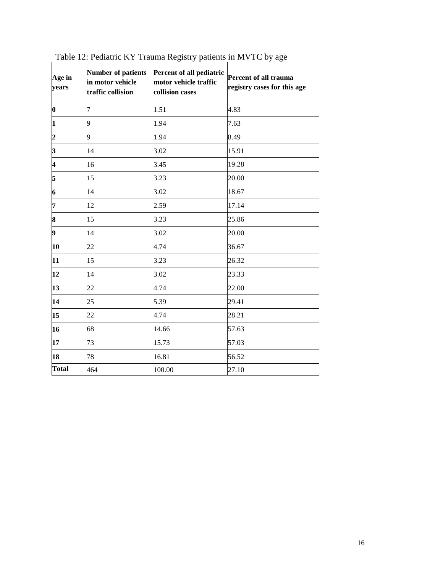| Age in<br>years         | <b>Number of patients</b><br>in motor vehicle<br>traffic collision | Percent of all pediatric<br>motor vehicle traffic<br>collision cases | Percent of all trauma<br>registry cases for this age |
|-------------------------|--------------------------------------------------------------------|----------------------------------------------------------------------|------------------------------------------------------|
| $ 0\rangle$             | $\overline{7}$                                                     | 1.51                                                                 | 4.83                                                 |
| 1                       | 9                                                                  | 1.94                                                                 | 7.63                                                 |
| $\overline{\mathbf{c}}$ | 9                                                                  | 1.94                                                                 | 8.49                                                 |
| 3                       | 14                                                                 | 3.02                                                                 | 15.91                                                |
| $\overline{\mathbf{4}}$ | 16                                                                 | 3.45                                                                 | 19.28                                                |
| 5                       | 15                                                                 | 3.23                                                                 | 20.00                                                |
| 6                       | 14                                                                 | 3.02                                                                 | 18.67                                                |
| 7                       | 12                                                                 | 2.59                                                                 | 17.14                                                |
| 8                       | 15                                                                 | 3.23                                                                 | 25.86                                                |
| 9                       | 14                                                                 | 3.02                                                                 | 20.00                                                |
| 10                      | 22                                                                 | 4.74                                                                 | 36.67                                                |
| 11                      | 15                                                                 | 3.23                                                                 | 26.32                                                |
| 12                      | 14                                                                 | 3.02                                                                 | 23.33                                                |
| 13                      | 22                                                                 | 4.74                                                                 | 22.00                                                |
| 14                      | 25                                                                 | 5.39                                                                 | 29.41                                                |
| 15                      | 22                                                                 | 4.74                                                                 | 28.21                                                |
| 16                      | 68                                                                 | 14.66                                                                | 57.63                                                |
| 17                      | 73                                                                 | 15.73                                                                | 57.03                                                |
| 18                      | 78                                                                 | 16.81                                                                | 56.52                                                |
| <b>Total</b>            | 464                                                                | 100.00                                                               | 27.10                                                |

<span id="page-15-0"></span>Table 12: Pediatric KY Trauma Registry patients in MVTC by age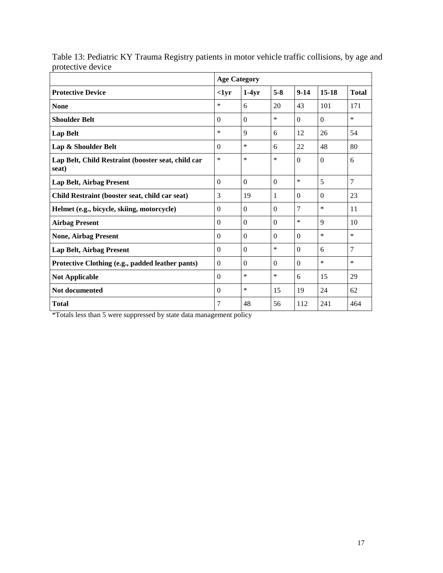|                                                             |                  | <b>Age Category</b> |          |          |              |              |  |  |
|-------------------------------------------------------------|------------------|---------------------|----------|----------|--------------|--------------|--|--|
| <b>Protective Device</b>                                    | $1yr$            | $1-4yr$             | $5 - 8$  | $9-14$   | $15-18$      | <b>Total</b> |  |  |
| <b>None</b>                                                 | ∗                | 6                   | 20       | 43       | 101          | 171          |  |  |
| <b>Shoulder Belt</b>                                        | $\Omega$         | $\theta$            | $\ast$   | $\Omega$ | $\Omega$     | *            |  |  |
| <b>Lap Belt</b>                                             | $\ast$           | 9                   | 6        | 12       | 26           | 54           |  |  |
| Lap & Shoulder Belt                                         | $\Omega$         | $\ast$              | 6        | 22       | 48           | 80           |  |  |
| Lap Belt, Child Restraint (booster seat, child car<br>seat) | $\ast$           | $\ast$              | $\ast$   | $\Omega$ | $\Omega$     | 6            |  |  |
| <b>Lap Belt, Airbag Present</b>                             | $\Omega$         | $\Omega$            | $\Omega$ | $\ast$   | 5            | 7            |  |  |
| Child Restraint (booster seat, child car seat)              | 3                | 19                  | 1        | $\Omega$ | $\Omega$     | 23           |  |  |
| Helmet (e.g., bicycle, skiing, motorcycle)                  | $\Omega$         | $\overline{0}$      | $\Omega$ | 7        | $\ast$       | 11           |  |  |
| <b>Airbag Present</b>                                       | $\Omega$         | $\Omega$            | $\Omega$ | $\ast$   | $\mathbf{Q}$ | 10           |  |  |
| <b>None, Airbag Present</b>                                 | $\Omega$         | $\Omega$            | $\Omega$ | $\Omega$ | $\ast$       | *            |  |  |
| <b>Lap Belt, Airbag Present</b>                             | $\Omega$         | $\Omega$            | $\ast$   | $\theta$ | 6            | 7            |  |  |
| Protective Clothing (e.g., padded leather pants)            | $\boldsymbol{0}$ | $\Omega$            | $\Omega$ | $\Omega$ | $\ast$       | *            |  |  |
| <b>Not Applicable</b>                                       | $\Omega$         | $\ast$              | $\ast$   | 6        | 15           | 29           |  |  |
| <b>Not documented</b>                                       | $\Omega$         | $\ast$              | 15       | 19       | 24           | 62           |  |  |
| <b>Total</b>                                                | 7                | 48                  | 56       | 112      | 241          | 464          |  |  |

<span id="page-16-0"></span>Table 13: Pediatric KY Trauma Registry patients in motor vehicle traffic collisions, by age and protective device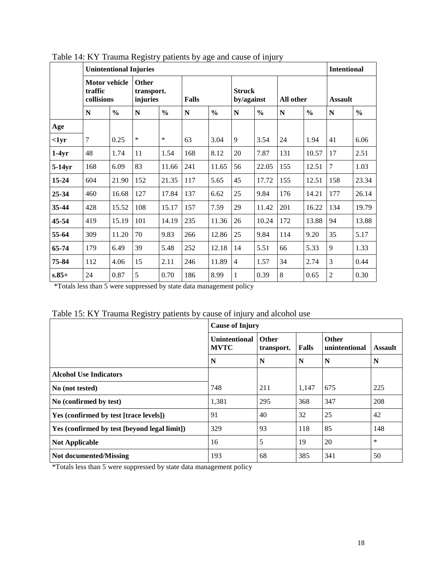|               | <b>Unintentional Injuries</b>                 |               |                                        |                                      |     |               |                |               |     | <b>Intentional</b> |                |               |                |  |
|---------------|-----------------------------------------------|---------------|----------------------------------------|--------------------------------------|-----|---------------|----------------|---------------|-----|--------------------|----------------|---------------|----------------|--|
|               | <b>Motor vehicle</b><br>traffic<br>collisions |               | <b>Other</b><br>transport.<br>injuries | <b>Struck</b><br>Falls<br>by/against |     |               |                |               |     | All other          |                |               | <b>Assault</b> |  |
|               | N                                             | $\frac{0}{0}$ | N                                      | $\frac{0}{0}$                        | N   | $\frac{0}{0}$ | N              | $\frac{0}{0}$ | N   | $\frac{0}{0}$      | N              | $\frac{0}{0}$ |                |  |
| Age           |                                               |               |                                        |                                      |     |               |                |               |     |                    |                |               |                |  |
| $\langle$ 1yr | $\overline{7}$                                | 0.25          | $\ast$                                 | *                                    | 63  | 3.04          | 9              | 3.54          | 24  | 1.94               | 41             | 6.06          |                |  |
| $1-4yr$       | 48                                            | 1.74          | 11                                     | 1.54                                 | 168 | 8.12          | 20             | 7.87          | 131 | 10.57              | 17             | 2.51          |                |  |
| $5-14yr$      | 168                                           | 6.09          | 83                                     | 11.66                                | 241 | 11.65         | 56             | 22.05         | 155 | 12.51              | $\overline{7}$ | 1.03          |                |  |
| 15-24         | 604                                           | 21.90         | 152                                    | 21.35                                | 117 | 5.65          | 45             | 17.72         | 155 | 12.51              | 158            | 23.34         |                |  |
| 25-34         | 460                                           | 16.68         | 127                                    | 17.84                                | 137 | 6.62          | 25             | 9.84          | 176 | 14.21              | 177            | 26.14         |                |  |
| 35-44         | 428                                           | 15.52         | 108                                    | 15.17                                | 157 | 7.59          | 29             | 11.42         | 201 | 16.22              | 134            | 19.79         |                |  |
| 45-54         | 419                                           | 15.19         | 101                                    | 14.19                                | 235 | 11.36         | 26             | 10.24         | 172 | 13.88              | 94             | 13.88         |                |  |
| 55-64         | 309                                           | 11.20         | 70                                     | 9.83                                 | 266 | 12.86         | 25             | 9.84          | 114 | 9.20               | 35             | 5.17          |                |  |
| 65-74         | 179                                           | 6.49          | 39                                     | 5.48                                 | 252 | 12.18         | 14             | 5.51          | 66  | 5.33               | 9              | 1.33          |                |  |
| 75-84         | 112                                           | 4.06          | 15                                     | 2.11                                 | 246 | 11.89         | $\overline{4}$ | 1.57          | 34  | 2.74               | 3              | 0.44          |                |  |
| $s.85+$       | 24                                            | 0.87          | 5                                      | 0.70                                 | 186 | 8.99          | 1              | 0.39          | 8   | 0.65               | $\overline{2}$ | 0.30          |                |  |

<span id="page-17-0"></span>Table 14: KY Trauma Registry patients by age and cause of injury

<span id="page-17-1"></span>

| Table 15: KY Trauma Registry patients by cause of injury and alcohol use |  |  |
|--------------------------------------------------------------------------|--|--|
|                                                                          |  |  |

|                                              | <b>Cause of Injury</b>              |                            |       |                        |                |  |  |
|----------------------------------------------|-------------------------------------|----------------------------|-------|------------------------|----------------|--|--|
|                                              | <b>Unintentional</b><br><b>MVTC</b> | <b>Other</b><br>transport. | Falls | Other<br>unintentional | <b>Assault</b> |  |  |
|                                              | N                                   | N                          | N     | N                      | N              |  |  |
| <b>Alcohol Use Indicators</b>                |                                     |                            |       |                        |                |  |  |
| No (not tested)                              | 748                                 | 211                        | 1,147 | 675                    | 225            |  |  |
| No (confirmed by test)                       | 1,381                               | 295                        | 368   | 347                    | 208            |  |  |
| Yes (confirmed by test [trace levels])       | 91                                  | 40                         | 32    | 25                     | 42             |  |  |
| Yes (confirmed by test [beyond legal limit]) | 329                                 | 93                         | 118   | 85                     | 148            |  |  |
| <b>Not Applicable</b>                        | 16                                  | 5                          | 19    | 20                     | $\ast$         |  |  |
| <b>Not documented/Missing</b>                | 193                                 | 68                         | 385   | 341                    | 50             |  |  |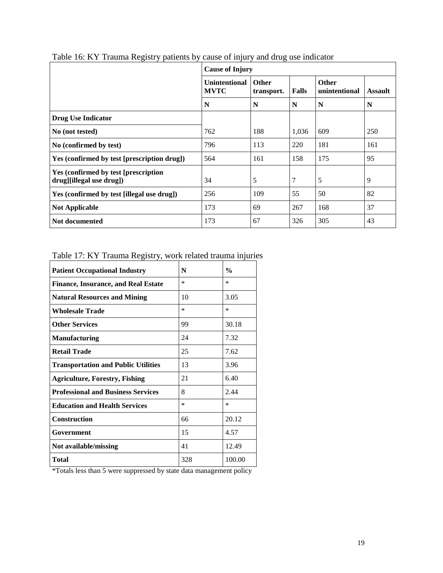|                                                                   | <b>Cause of Injury</b>       |                            |       |                               |                |  |  |
|-------------------------------------------------------------------|------------------------------|----------------------------|-------|-------------------------------|----------------|--|--|
|                                                                   | Unintentional<br><b>MVTC</b> | <b>Other</b><br>transport. | Falls | <b>Other</b><br>unintentional | <b>Assault</b> |  |  |
|                                                                   | N                            | N                          | N     | N                             | N              |  |  |
| <b>Drug Use Indicator</b>                                         |                              |                            |       |                               |                |  |  |
| No (not tested)                                                   | 762                          | 188                        | 1,036 | 609                           | 250            |  |  |
| No (confirmed by test)                                            | 796                          | 113                        | 220   | 181                           | 161            |  |  |
| Yes (confirmed by test [prescription drug])                       | 564                          | 161                        | 158   | 175                           | 95             |  |  |
| Yes (confirmed by test [prescription]<br>drug][illegal use drug]) | 34                           | 5                          | 7     | 5                             | 9              |  |  |
| Yes (confirmed by test [illegal use drug])                        | 256                          | 109                        | 55    | 50                            | 82             |  |  |
| <b>Not Applicable</b>                                             | 173                          | 69                         | 267   | 168                           | 37             |  |  |
| <b>Not documented</b>                                             | 173                          | 67                         | 326   | 305                           | 43             |  |  |

<span id="page-18-0"></span>Table 16: KY Trauma Registry patients by cause of injury and drug use indicator

## <span id="page-18-1"></span>Table 17: KY Trauma Registry, work related trauma injuries

| <b>Patient Occupational Industry</b>       | N      | $\frac{0}{0}$ |
|--------------------------------------------|--------|---------------|
| <b>Finance, Insurance, and Real Estate</b> | *      | $\ast$        |
| <b>Natural Resources and Mining</b>        | 10     | 3.05          |
| Wholesale Trade                            | $\ast$ | $\ast$        |
| <b>Other Services</b>                      | 99     | 30.18         |
| <b>Manufacturing</b>                       | 24     | 7.32          |
| <b>Retail Trade</b>                        | 25     | 7.62          |
| <b>Transportation and Public Utilities</b> | 13     | 3.96          |
| <b>Agriculture, Forestry, Fishing</b>      | 21     | 6.40          |
| <b>Professional and Business Services</b>  | 8      | 2.44          |
| <b>Education and Health Services</b>       | $\ast$ | *             |
| <b>Construction</b>                        | 66     | 20.12         |
| Government                                 | 15     | 4.57          |
| Not available/missing                      | 41     | 12.49         |
| Total                                      | 328    | 100.00        |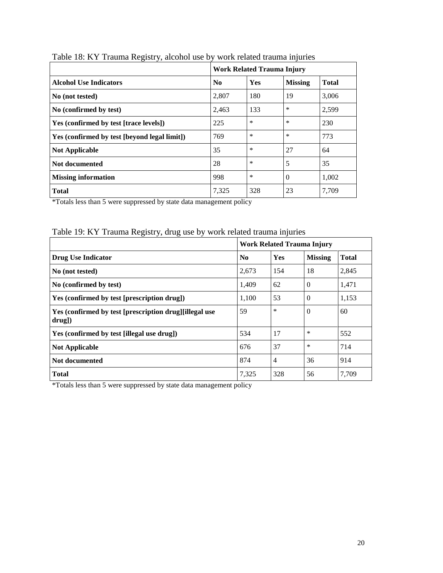|                                              | <b>Work Related Trauma Injury</b> |            |                |              |  |
|----------------------------------------------|-----------------------------------|------------|----------------|--------------|--|
| <b>Alcohol Use Indicators</b>                | N <sub>0</sub>                    | <b>Yes</b> | <b>Missing</b> | <b>Total</b> |  |
| No (not tested)                              | 2,807                             | 180        | -19            | 3,006        |  |
| No (confirmed by test)                       | 2,463                             | 133        | $\ast$         | 2,599        |  |
| Yes (confirmed by test [trace levels])       | 225                               | *          | $\ast$         | 230          |  |
| Yes (confirmed by test [beyond legal limit]) | 769                               | *          | $\ast$         | 773          |  |
| <b>Not Applicable</b>                        | 35                                | *          | 27             | 64           |  |
| Not documented                               | 28                                | *          | 5              | 35           |  |
| <b>Missing information</b>                   | 998                               | *          | $\Omega$       | 1,002        |  |
| <b>Total</b>                                 | 7,325                             | 328        | 23             | 7,709        |  |

<span id="page-19-0"></span>Table 18: KY Trauma Registry, alcohol use by work related trauma injuries

## <span id="page-19-1"></span>Table 19: KY Trauma Registry, drug use by work related trauma injuries

|                                                                     | Work Related Trauma Injury |                |                |              |  |
|---------------------------------------------------------------------|----------------------------|----------------|----------------|--------------|--|
| Drug Use Indicator                                                  | $\mathbf{N_0}$             | Yes            | <b>Missing</b> | <b>Total</b> |  |
| No (not tested)                                                     | 2,673                      | 154            | 18             | 2,845        |  |
| No (confirmed by test)                                              | 1,409                      | 62             | $\Omega$       | 1.471        |  |
| Yes (confirmed by test [prescription drug])                         | 1,100                      | 53             | $\Omega$       | 1,153        |  |
| Yes (confirmed by test [prescription drug][illegal use<br>$drug$ ]) | 59                         | $\ast$         | $\Omega$       | 60           |  |
| Yes (confirmed by test [illegal use drug])                          | 534                        | 17             | *              | 552          |  |
| <b>Not Applicable</b>                                               | 676                        | 37             | ∗              | 714          |  |
| Not documented                                                      | 874                        | $\overline{4}$ | 36             | 914          |  |
| <b>Total</b>                                                        | 7,325                      | 328            | 56             | 7,709        |  |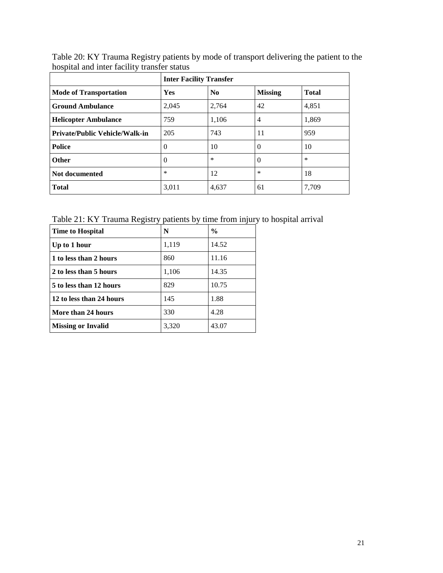|                                       | <b>Inter Facility Transfer</b> |                |                |              |  |  |
|---------------------------------------|--------------------------------|----------------|----------------|--------------|--|--|
| <b>Mode of Transportation</b>         | Yes                            | N <sub>0</sub> | <b>Missing</b> | <b>Total</b> |  |  |
| <b>Ground Ambulance</b>               | 2,045                          | 2,764          | 42             | 4,851        |  |  |
| <b>Helicopter Ambulance</b>           | 759                            | 1,106          | 4              | 1,869        |  |  |
| <b>Private/Public Vehicle/Walk-in</b> | 205                            | 743            | 11             | 959          |  |  |
| <b>Police</b>                         | $\theta$                       | 10             | $\Omega$       | 10           |  |  |
| <b>Other</b>                          | $\Omega$                       | $\ast$         | $\Omega$       | $\ast$       |  |  |
| Not documented                        | $\ast$                         | 12             | $\ast$         | 18           |  |  |
| <b>Total</b>                          | 3,011                          | 4,637          | 61             | 7,709        |  |  |

<span id="page-20-0"></span>Table 20: KY Trauma Registry patients by mode of transport delivering the patient to the hospital and inter facility transfer status

<span id="page-20-1"></span>Table 21: KY Trauma Registry patients by time from injury to hospital arrival

| <b>Time to Hospital</b>   | N     | $\frac{0}{0}$ |
|---------------------------|-------|---------------|
| Up to 1 hour              | 1,119 | 14.52         |
| 1 to less than 2 hours    | 860   | 11.16         |
| 2 to less than 5 hours    | 1,106 | 14.35         |
| 5 to less than 12 hours   | 829   | 10.75         |
| 12 to less than 24 hours  | 145   | 1.88          |
| More than 24 hours        | 330   | 4.28          |
| <b>Missing or Invalid</b> | 3,320 | 43.07         |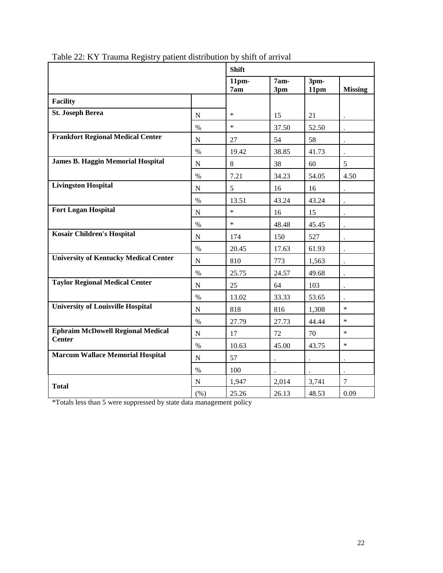|                                                           |             | <b>Shift</b>            |                      |                      |                      |  |  |
|-----------------------------------------------------------|-------------|-------------------------|----------------------|----------------------|----------------------|--|--|
|                                                           |             | 11 <sub>pm</sub><br>7am | 7am-<br>3pm          | 3pm-<br>11pm         | <b>Missing</b>       |  |  |
| <b>Facility</b>                                           |             |                         |                      |                      |                      |  |  |
| <b>St. Joseph Berea</b>                                   | ${\bf N}$   | $\ast$                  | 15                   | 21                   |                      |  |  |
|                                                           | $\%$        | $\ast$                  | 37.50                | 52.50                |                      |  |  |
| <b>Frankfort Regional Medical Center</b>                  | ${\bf N}$   | 27                      | 54                   | 58                   | $\bullet$            |  |  |
|                                                           | $\%$        | 19.42                   | 38.85                | 41.73                |                      |  |  |
| <b>James B. Haggin Memorial Hospital</b>                  | $\mathbf N$ | $8\,$                   | 38                   | 60                   | 5                    |  |  |
|                                                           | $\%$        | 7.21                    | 34.23                | 54.05                | 4.50                 |  |  |
| <b>Livingston Hospital</b>                                | $\mathbf N$ | 5                       | 16                   | 16                   |                      |  |  |
|                                                           | $\%$        | 13.51                   | 43.24                | 43.24                | $\ddot{\phantom{0}}$ |  |  |
| <b>Fort Logan Hospital</b>                                | $\mathbf N$ | $\ast$                  | 16                   | 15                   |                      |  |  |
|                                                           | $\%$        | $\ast$                  | 48.48                | 45.45                |                      |  |  |
| <b>Kosair Children's Hospital</b>                         | ${\bf N}$   | 174                     | 150                  | 527                  | $\ddot{\phantom{0}}$ |  |  |
|                                                           | $\%$        | 20.45                   | 17.63                | 61.93                | $\ddot{\phantom{0}}$ |  |  |
| <b>University of Kentucky Medical Center</b>              | ${\bf N}$   | 810                     | 773                  | 1,563                | $\ddot{\phantom{a}}$ |  |  |
|                                                           | $\%$        | 25.75                   | 24.57                | 49.68                |                      |  |  |
| <b>Taylor Regional Medical Center</b>                     | ${\bf N}$   | 25                      | 64                   | 103                  | $\ddot{\phantom{a}}$ |  |  |
|                                                           | $\%$        | 13.02                   | 33.33                | 53.65                |                      |  |  |
| <b>University of Louisville Hospital</b>                  | $\mathbf N$ | 818                     | 816                  | 1,308                | $\ast$               |  |  |
|                                                           | $\%$        | 27.79                   | 27.73                | 44.44                | $\ast$               |  |  |
| <b>Ephraim McDowell Regional Medical</b><br><b>Center</b> | ${\bf N}$   | 17                      | 72                   | 70                   | $\ast$               |  |  |
|                                                           | $\%$        | 10.63                   | 45.00                | 43.75                | $\ast$               |  |  |
| <b>Marcum Wallace Memorial Hospital</b>                   | $\mathbf N$ | 57                      | $\ddot{\phantom{0}}$ | $\ddot{\phantom{a}}$ | $\ddot{\phantom{1}}$ |  |  |
|                                                           | $\%$        | 100                     |                      |                      | $\bullet$            |  |  |
| <b>Total</b>                                              | ${\bf N}$   | 1,947                   | 2,014                | 3,741                | $\overline{7}$       |  |  |
|                                                           | (% )        | 25.26                   | 26.13                | 48.53                | 0.09                 |  |  |

<span id="page-21-0"></span>Table 22: KY Trauma Registry patient distribution by shift of arrival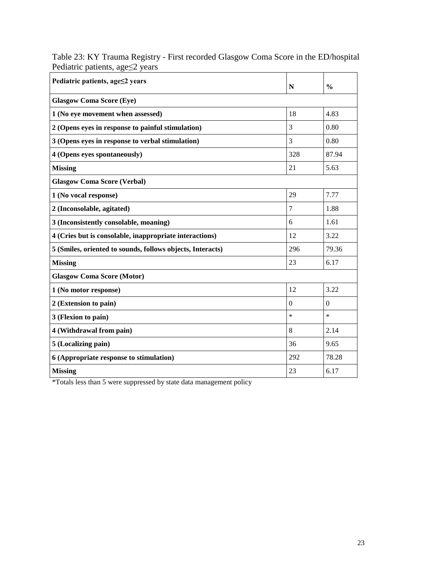| Pediatric patients, age≤2 years                            | N        | $\frac{0}{0}$ |  |  |  |  |  |  |  |
|------------------------------------------------------------|----------|---------------|--|--|--|--|--|--|--|
| <b>Glasgow Coma Score (Eye)</b>                            |          |               |  |  |  |  |  |  |  |
| 1 (No eye movement when assessed)                          | 18       | 4.83          |  |  |  |  |  |  |  |
| 2 (Opens eyes in response to painful stimulation)          | 3        | 0.80          |  |  |  |  |  |  |  |
| 3 (Opens eyes in response to verbal stimulation)           | 3        | 0.80          |  |  |  |  |  |  |  |
| 4 (Opens eyes spontaneously)                               | 328      | 87.94         |  |  |  |  |  |  |  |
| <b>Missing</b>                                             | 21       | 5.63          |  |  |  |  |  |  |  |
| <b>Glasgow Coma Score (Verbal)</b>                         |          |               |  |  |  |  |  |  |  |
| 1 (No vocal response)                                      | 29       | 7.77          |  |  |  |  |  |  |  |
| 2 (Inconsolable, agitated)                                 | 7        | 1.88          |  |  |  |  |  |  |  |
| 3 (Inconsistently consolable, moaning)                     | 6        | 1.61          |  |  |  |  |  |  |  |
| 4 (Cries but is consolable, inappropriate interactions)    | 12       | 3.22          |  |  |  |  |  |  |  |
| 5 (Smiles, oriented to sounds, follows objects, Interacts) | 296      | 79.36         |  |  |  |  |  |  |  |
| <b>Missing</b>                                             | 23       | 6.17          |  |  |  |  |  |  |  |
| <b>Glasgow Coma Score (Motor)</b>                          |          |               |  |  |  |  |  |  |  |
| 1 (No motor response)                                      | 12       | 3.22          |  |  |  |  |  |  |  |
| 2 (Extension to pain)                                      | $\theta$ | $\Omega$      |  |  |  |  |  |  |  |
| 3 (Flexion to pain)                                        | $\ast$   | $\ast$        |  |  |  |  |  |  |  |
| 4 (Withdrawal from pain)                                   | 8        | 2.14          |  |  |  |  |  |  |  |
| 5 (Localizing pain)                                        | 36       | 9.65          |  |  |  |  |  |  |  |
| 6 (Appropriate response to stimulation)                    | 292      | 78.28         |  |  |  |  |  |  |  |
| <b>Missing</b>                                             | 23       | 6.17          |  |  |  |  |  |  |  |

<span id="page-22-0"></span>Table 23: KY Trauma Registry - First recorded Glasgow Coma Score in the ED/hospital Pediatric patients, age≤2 years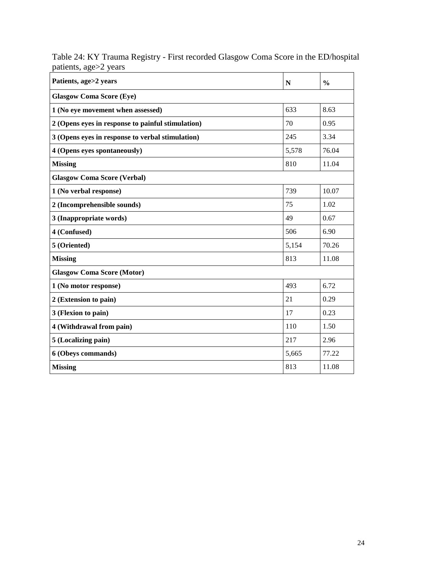| Patients, age>2 years                             | $\mathbf N$ | $\frac{0}{0}$ |  |  |  |  |  |  |  |
|---------------------------------------------------|-------------|---------------|--|--|--|--|--|--|--|
| <b>Glasgow Coma Score (Eye)</b>                   |             |               |  |  |  |  |  |  |  |
| 1 (No eye movement when assessed)                 | 633         | 8.63          |  |  |  |  |  |  |  |
| 2 (Opens eyes in response to painful stimulation) | 70          | 0.95          |  |  |  |  |  |  |  |
| 3 (Opens eyes in response to verbal stimulation)  | 245         | 3.34          |  |  |  |  |  |  |  |
| 4 (Opens eyes spontaneously)                      | 5,578       | 76.04         |  |  |  |  |  |  |  |
| <b>Missing</b>                                    | 810         | 11.04         |  |  |  |  |  |  |  |
| <b>Glasgow Coma Score (Verbal)</b>                |             |               |  |  |  |  |  |  |  |
| 1 (No verbal response)                            | 739         | 10.07         |  |  |  |  |  |  |  |
| 2 (Incomprehensible sounds)                       | 75          | 1.02          |  |  |  |  |  |  |  |
| 3 (Inappropriate words)                           | 49          | 0.67          |  |  |  |  |  |  |  |
| 4 (Confused)                                      | 506         | 6.90          |  |  |  |  |  |  |  |
| 5 (Oriented)                                      | 5,154       | 70.26         |  |  |  |  |  |  |  |
| <b>Missing</b>                                    | 813         | 11.08         |  |  |  |  |  |  |  |
| <b>Glasgow Coma Score (Motor)</b>                 |             |               |  |  |  |  |  |  |  |
| 1 (No motor response)                             | 493         | 6.72          |  |  |  |  |  |  |  |
| 2 (Extension to pain)                             | 21          | 0.29          |  |  |  |  |  |  |  |
| 3 (Flexion to pain)                               | 17          | 0.23          |  |  |  |  |  |  |  |
| 4 (Withdrawal from pain)                          | 110         | 1.50          |  |  |  |  |  |  |  |
| 5 (Localizing pain)                               | 217         | 2.96          |  |  |  |  |  |  |  |
| 6 (Obeys commands)                                | 5,665       | 77.22         |  |  |  |  |  |  |  |
| <b>Missing</b>                                    | 813         | 11.08         |  |  |  |  |  |  |  |

<span id="page-23-0"></span>Table 24: KY Trauma Registry - First recorded Glasgow Coma Score in the ED/hospital patients, age>2 years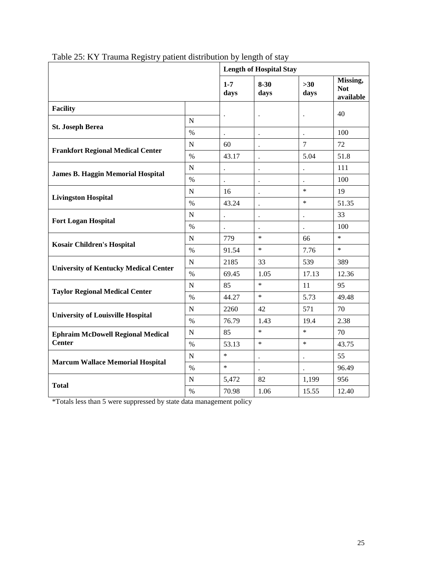|                                              |               | <b>Length of Hospital Stay</b> |                      |                      |                                     |  |  |  |
|----------------------------------------------|---------------|--------------------------------|----------------------|----------------------|-------------------------------------|--|--|--|
|                                              |               | $1 - 7$<br>days                | $8 - 30$<br>days     | $>30$<br>days        | Missing,<br><b>Not</b><br>available |  |  |  |
| <b>Facility</b>                              |               |                                |                      |                      | 40                                  |  |  |  |
|                                              | ${\bf N}$     |                                | $\ddot{\phantom{0}}$ | $\ddot{\phantom{0}}$ |                                     |  |  |  |
| <b>St. Joseph Berea</b>                      | $\%$          |                                |                      |                      | 100                                 |  |  |  |
|                                              | $\mathbf N$   | 60                             | $\ddot{\phantom{0}}$ | $\overline{7}$       | 72                                  |  |  |  |
| <b>Frankfort Regional Medical Center</b>     | $\%$          | 43.17                          | $\ddot{\phantom{0}}$ | 5.04                 | 51.8                                |  |  |  |
|                                              | $\mathbf N$   |                                |                      |                      | 111                                 |  |  |  |
| <b>James B. Haggin Memorial Hospital</b>     | $\frac{0}{0}$ | $\bullet$                      | $\ddot{\phantom{0}}$ |                      | 100                                 |  |  |  |
|                                              | $\mathbf N$   | 16                             | $\ddot{\phantom{a}}$ | $\ast$               | 19                                  |  |  |  |
| <b>Livingston Hospital</b>                   | $\%$          | 43.24                          |                      | $\ast$               | 51.35                               |  |  |  |
|                                              | N             | $\ddot{\phantom{a}}$           | $\ddot{\phantom{0}}$ | $\ddot{\phantom{0}}$ | 33                                  |  |  |  |
| <b>Fort Logan Hospital</b>                   | $\%$          |                                | $\ddot{\phantom{a}}$ |                      | 100                                 |  |  |  |
|                                              | N             | 779                            | $\ast$               | 66                   | $\ast$                              |  |  |  |
| <b>Kosair Children's Hospital</b>            | $\%$          | 91.54                          | $\ast$               | 7.76                 | $\ast$                              |  |  |  |
|                                              | $\mathbf N$   | 2185                           | 33                   | 539                  | 389                                 |  |  |  |
| <b>University of Kentucky Medical Center</b> | $\%$          | 69.45                          | 1.05                 | 17.13                | 12.36                               |  |  |  |
|                                              | $\mathbf N$   | 85                             | $\ast$               | 11                   | 95                                  |  |  |  |
| <b>Taylor Regional Medical Center</b>        | $\%$          | 44.27                          | $\ast$               | 5.73                 | 49.48                               |  |  |  |
|                                              | $\mathbf N$   | 2260                           | 42                   | 571                  | 70                                  |  |  |  |
| <b>University of Louisville Hospital</b>     | $\%$          | 76.79                          | 1.43                 | 19.4                 | 2.38                                |  |  |  |
| <b>Ephraim McDowell Regional Medical</b>     | ${\bf N}$     | 85                             | $\ast$               | $\ast$               | 70                                  |  |  |  |
| <b>Center</b>                                | $\%$          | 53.13                          | $\ast$               | $\ast$               | 43.75                               |  |  |  |
|                                              | $\mathbf N$   | $\ast$                         | $\ddot{\phantom{0}}$ | $\ddot{\phantom{a}}$ | 55                                  |  |  |  |
| <b>Marcum Wallace Memorial Hospital</b>      | $\%$          | $\ast$                         |                      |                      | 96.49                               |  |  |  |
|                                              | N             | 5,472                          | 82                   | 1,199                | 956                                 |  |  |  |
| <b>Total</b>                                 | $\%$          | 70.98                          | 1.06                 | 15.55                | 12.40                               |  |  |  |

<span id="page-24-0"></span>Table 25: KY Trauma Registry patient distribution by length of stay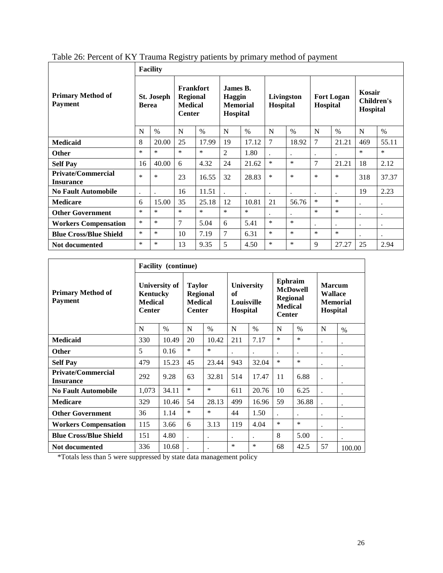<span id="page-25-0"></span>

| Table 26: Percent of KY Trauma Registry patients by primary method of payment |  |  |  |
|-------------------------------------------------------------------------------|--|--|--|

|                                               | <b>Facility</b> |                                   |                |                                                                        |                |                                                   |                |                        |                      |                               |         |                                  |  |
|-----------------------------------------------|-----------------|-----------------------------------|----------------|------------------------------------------------------------------------|----------------|---------------------------------------------------|----------------|------------------------|----------------------|-------------------------------|---------|----------------------------------|--|
| <b>Primary Method of</b><br><b>Payment</b>    |                 | <b>St. Joseph</b><br><b>Berea</b> |                | <b>Frankfort</b><br><b>Regional</b><br><b>Medical</b><br><b>Center</b> |                | James B.<br>Haggin<br><b>Memorial</b><br>Hospital |                | Livingston<br>Hospital |                      | <b>Fort Logan</b><br>Hospital |         | Kosair<br>Children's<br>Hospital |  |
|                                               | N               | $\frac{0}{0}$                     | N              | $\%$                                                                   | N              | $\%$                                              | N              | $\%$                   | N                    | $\%$                          | N       | $\frac{0}{0}$                    |  |
| <b>Medicaid</b>                               | 8               | 20.00                             | 25             | 17.99                                                                  | 19             | 17.12                                             | $\overline{7}$ | 18.92                  | 7                    | 21.21                         | 469     | 55.11                            |  |
| <b>Other</b>                                  | $\ast$          | $\ast$                            | $\ast$         | $\ast$                                                                 | $\overline{c}$ | 1.80                                              |                |                        | $\ddot{\phantom{0}}$ |                               | $\ast$  | $\ast$                           |  |
| <b>Self Pay</b>                               | 16              | 40.00                             | 6              | 4.32                                                                   | 24             | 21.62                                             | $\ast$         | $\ast$                 | 7                    | 21.21                         | 18      | 2.12                             |  |
| <b>Private/Commercial</b><br><b>Insurance</b> | $\ast$          | $\ast$                            | 23             | 16.55                                                                  | 32             | 28.83                                             | $\ast$         | $\ast$                 | $\ast$               | $\ast$                        | 318     | 37.37                            |  |
| <b>No Fault Automobile</b>                    |                 |                                   | 16             | 11.51                                                                  |                |                                                   | $\cdot$        | $\ddot{\phantom{0}}$   | $\ddot{\phantom{0}}$ |                               | 19      | 2.23                             |  |
| <b>Medicare</b>                               | 6               | 15.00                             | 35             | 25.18                                                                  | 12             | 10.81                                             | 21             | 56.76                  | *                    | $\ast$                        | $\cdot$ | $\ddot{\phantom{0}}$             |  |
| <b>Other Government</b>                       | $\ast$          | $\ast$                            | $\ast$         | $\ast$                                                                 | $\ast$         | $\ast$                                            |                | $\ddot{\phantom{0}}$   | $\ast$               | $\ast$                        | $\cdot$ | ٠                                |  |
| <b>Workers Compensation</b>                   | $\ast$          | $\ast$                            | $\overline{7}$ | 5.04                                                                   | 6              | 5.41                                              | $\ast$         | $\ast$                 | $\ddot{\phantom{0}}$ | $\ddot{\phantom{0}}$          | $\cdot$ | $\ddot{\phantom{0}}$             |  |
| <b>Blue Cross/Blue Shield</b>                 | $\ast$          | $\ast$                            | 10             | 7.19                                                                   | 7              | 6.31                                              | $\ast$         | $\ast$                 | $\ast$               | $\ast$                        |         | ٠                                |  |
| Not documented                                | $\ast$          | $\ast$                            | 13             | 9.35                                                                   | 5              | 4.50                                              | $\ast$         | $\ast$                 | 9                    | 27.27                         | 25      | 2.94                             |  |

|                                               | <b>Facility</b> (continue)                                   |       |                                                                     |           |                                                          |                      |                                                                                         |                      |                                                                |           |  |  |
|-----------------------------------------------|--------------------------------------------------------------|-------|---------------------------------------------------------------------|-----------|----------------------------------------------------------|----------------------|-----------------------------------------------------------------------------------------|----------------------|----------------------------------------------------------------|-----------|--|--|
| <b>Primary Method of</b><br><b>Payment</b>    | University of<br>Kentucky<br><b>Medical</b><br><b>Center</b> |       | <b>Taylor</b><br><b>Regional</b><br><b>Medical</b><br><b>Center</b> |           | <b>University</b><br>of<br><b>Louisville</b><br>Hospital |                      | <b>Ephraim</b><br><b>McDowell</b><br><b>Regional</b><br><b>Medical</b><br><b>Center</b> |                      | <b>Marcum</b><br><b>Wallace</b><br><b>Memorial</b><br>Hospital |           |  |  |
|                                               | N                                                            | $\%$  | N                                                                   | $\%$      | N                                                        | $\%$                 | N                                                                                       | $\frac{0}{0}$        | N                                                              | $\%$      |  |  |
| <b>Medicaid</b>                               | 330                                                          | 10.49 | 20                                                                  | 10.42     | 211                                                      | 7.17                 | $\ast$                                                                                  | $\ast$               | ٠                                                              |           |  |  |
| <b>Other</b>                                  | 5                                                            | 0.16  | $\ast$                                                              | $\ast$    |                                                          | $\ddot{\phantom{0}}$ |                                                                                         | $\ddot{\phantom{a}}$ | $\ddot{\phantom{0}}$                                           |           |  |  |
| <b>Self Pay</b>                               | 479                                                          | 15.23 | 45                                                                  | 23.44     | 943                                                      | 32.04                | $\ast$                                                                                  | $\ast$               |                                                                |           |  |  |
| <b>Private/Commercial</b><br><b>Insurance</b> | 292                                                          | 9.28  | 63                                                                  | 32.81     | 514                                                      | 17.47                | 11                                                                                      | 6.88                 |                                                                |           |  |  |
| <b>No Fault Automobile</b>                    | 1,073                                                        | 34.11 | *                                                                   | *         | 611                                                      | 20.76                | 10                                                                                      | 6.25                 |                                                                |           |  |  |
| <b>Medicare</b>                               | 329                                                          | 10.46 | 54                                                                  | 28.13     | 499                                                      | 16.96                | 59                                                                                      | 36.88                |                                                                |           |  |  |
| <b>Other Government</b>                       | 36                                                           | 1.14  | $\ast$                                                              | $\ast$    | 44                                                       | 1.50                 |                                                                                         | $\ddot{\phantom{a}}$ | ٠                                                              |           |  |  |
| <b>Workers Compensation</b>                   | 115                                                          | 3.66  | 6                                                                   | 3.13      | 119                                                      | 4.04                 | $\ast$                                                                                  | $\ast$               |                                                                | $\bullet$ |  |  |
| <b>Blue Cross/Blue Shield</b>                 | 151                                                          | 4.80  | $\cdot$                                                             | $\bullet$ |                                                          |                      | 8                                                                                       | 5.00                 |                                                                |           |  |  |
| Not documented                                | 336                                                          | 10.68 |                                                                     |           | $\ast$                                                   | $\ast$               | 68                                                                                      | 42.5                 | 57                                                             | 100.00    |  |  |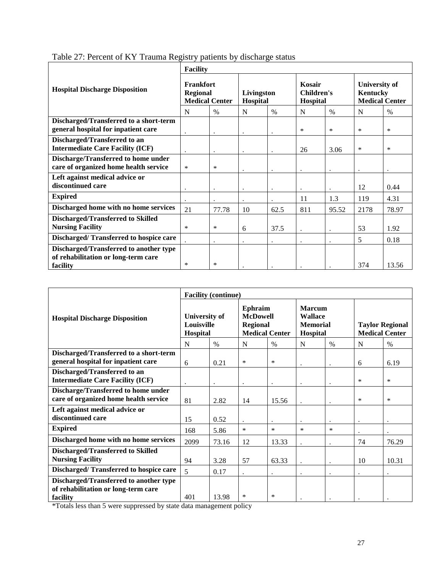|                                                                                           | <b>Facility</b>                                       |       |                        |           |                                         |           |                                                           |        |  |  |
|-------------------------------------------------------------------------------------------|-------------------------------------------------------|-------|------------------------|-----------|-----------------------------------------|-----------|-----------------------------------------------------------|--------|--|--|
| <b>Hospital Discharge Disposition</b>                                                     | Frankfort<br><b>Regional</b><br><b>Medical Center</b> |       | Livingston<br>Hospital |           | Kosair<br><b>Children's</b><br>Hospital |           | <b>University of</b><br>Kentucky<br><b>Medical Center</b> |        |  |  |
|                                                                                           | N                                                     | $\%$  | N                      | $\%$      | N                                       | $\%$      | N                                                         | $\%$   |  |  |
| Discharged/Transferred to a short-term<br>general hospital for inpatient care             |                                                       |       |                        |           | ∗                                       | $\ast$    | $\ast$                                                    | $\ast$ |  |  |
| Discharged/Transferred to an<br><b>Intermediate Care Facility (ICF)</b>                   |                                                       |       |                        |           | 26                                      | 3.06      | $\ast$                                                    | $\ast$ |  |  |
| Discharge/Transferred to home under<br>care of organized home health service              | $\ast$                                                | ∗     |                        |           |                                         |           | ٠.                                                        |        |  |  |
| Left against medical advice or<br>discontinued care                                       | ٠                                                     |       | ٠                      | $\bullet$ | $\cdot$                                 |           | 12                                                        | 0.44   |  |  |
| <b>Expired</b>                                                                            | $\ddot{\phantom{a}}$                                  |       | $\cdot$                |           | 11                                      | 1.3       | 119                                                       | 4.31   |  |  |
| Discharged home with no home services                                                     | 21                                                    | 77.78 | 10                     | 62.5      | 811                                     | 95.52     | 2178                                                      | 78.97  |  |  |
| <b>Discharged/Transferred to Skilled</b><br><b>Nursing Facility</b>                       | ∗                                                     | ∗     | 6                      | 37.5      | $\bullet$                               | $\bullet$ | 53                                                        | 1.92   |  |  |
| Discharged/Transferred to hospice care                                                    |                                                       |       |                        |           |                                         | $\bullet$ | 5                                                         | 0.18   |  |  |
| Discharged/Transferred to another type<br>of rehabilitation or long-term care<br>facility | $\ast$                                                | ∗     |                        |           |                                         |           | 374                                                       | 13.56  |  |  |

<span id="page-26-0"></span>Table 27: Percent of KY Trauma Registry patients by discharge status

|                                                                                           | <b>Facility (continue)</b>                            |       |                                                                        |           |                                                                |           |                                                 |        |  |  |
|-------------------------------------------------------------------------------------------|-------------------------------------------------------|-------|------------------------------------------------------------------------|-----------|----------------------------------------------------------------|-----------|-------------------------------------------------|--------|--|--|
| <b>Hospital Discharge Disposition</b>                                                     | <b>University of</b><br><b>Louisville</b><br>Hospital |       | Ephraim<br><b>McDowell</b><br><b>Regional</b><br><b>Medical Center</b> |           | <b>Marcum</b><br><b>Wallace</b><br><b>Memorial</b><br>Hospital |           | <b>Taylor Regional</b><br><b>Medical Center</b> |        |  |  |
|                                                                                           | N                                                     | $\%$  | N                                                                      | $\%$      | N                                                              | $\%$      | N                                               | $\%$   |  |  |
| Discharged/Transferred to a short-term<br>general hospital for inpatient care             | 6                                                     | 0.21  | $\ast$                                                                 | $\ast$    |                                                                |           | 6                                               | 6.19   |  |  |
| Discharged/Transferred to an<br><b>Intermediate Care Facility (ICF)</b>                   | $\bullet$                                             |       | $\bullet$                                                              | $\bullet$ | $\bullet$                                                      | $\bullet$ | $\ast$                                          | $\ast$ |  |  |
| Discharge/Transferred to home under<br>care of organized home health service              | 81                                                    | 2.82  | 14                                                                     | 15.56     |                                                                |           | $\ast$                                          | $\ast$ |  |  |
| Left against medical advice or<br>discontinued care                                       | 15                                                    | 0.52  |                                                                        | $\bullet$ |                                                                | $\bullet$ | $\bullet$                                       |        |  |  |
| <b>Expired</b>                                                                            | 168                                                   | 5.86  | *                                                                      | $\ast$    | $\ast$                                                         | $\ast$    |                                                 |        |  |  |
| Discharged home with no home services                                                     | 2099                                                  | 73.16 | 12                                                                     | 13.33     | $\bullet$                                                      | $\cdot$   | 74                                              | 76.29  |  |  |
| <b>Discharged/Transferred to Skilled</b><br><b>Nursing Facility</b>                       | 94                                                    | 3.28  | 57                                                                     | 63.33     |                                                                |           | 10                                              | 10.31  |  |  |
| Discharged/Transferred to hospice care                                                    | 5                                                     | 0.17  | $\ddot{\phantom{0}}$                                                   | $\bullet$ |                                                                | $\bullet$ | $\bullet$                                       |        |  |  |
| Discharged/Transferred to another type<br>of rehabilitation or long-term care<br>facility | 401                                                   | 13.98 | ∗                                                                      | ∗         |                                                                |           |                                                 |        |  |  |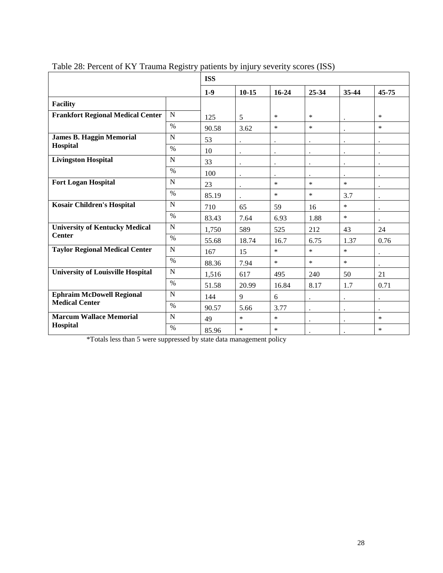|                                          | <b>ISS</b>    |       |                      |                      |                      |                      |                      |  |
|------------------------------------------|---------------|-------|----------------------|----------------------|----------------------|----------------------|----------------------|--|
|                                          |               | $1-9$ | $10 - 15$            | $16 - 24$            | 25-34                | 35-44                | 45-75                |  |
| <b>Facility</b>                          |               |       |                      |                      |                      |                      |                      |  |
| <b>Frankfort Regional Medical Center</b> | N             | 125   | 5                    | $\ast$               | $\ast$               |                      | $\ast$               |  |
|                                          | $\%$          | 90.58 | 3.62                 | $\ast$               | $\ast$               |                      | $\ast$               |  |
| <b>James B. Haggin Memorial</b>          | N             | 53    |                      |                      | $\ddot{\phantom{a}}$ |                      |                      |  |
| Hospital                                 | $\%$          | 10    | $\bullet$            | $\ddot{\phantom{0}}$ | $\ddot{\phantom{a}}$ | $\ddot{\phantom{a}}$ | $\ddot{\phantom{0}}$ |  |
| <b>Livingston Hospital</b>               | N             | 33    | $\ddot{\phantom{0}}$ | $\ddot{\phantom{0}}$ | $\ddot{\phantom{a}}$ | $\ddot{\phantom{a}}$ | $\ddot{\phantom{0}}$ |  |
|                                          | $\%$          | 100   | $\bullet$            | $\ddot{\phantom{0}}$ | $\ddot{\phantom{0}}$ |                      | $\ddot{\phantom{0}}$ |  |
| <b>Fort Logan Hospital</b>               | N             | 23    | $\bullet$            | $\ast$               | $\ast$               | $\ast$               | $\bullet$            |  |
|                                          | $\frac{0}{0}$ | 85.19 |                      | $\ast$               | $\ast$               | 3.7                  |                      |  |
| <b>Kosair Children's Hospital</b>        | N             | 710   | 65                   | 59                   | 16                   | $\ast$               |                      |  |
|                                          | $\frac{0}{0}$ | 83.43 | 7.64                 | 6.93                 | 1.88                 | $\ast$               |                      |  |
| <b>University of Kentucky Medical</b>    | $\mathbf N$   | 1,750 | 589                  | 525                  | 212                  | 43                   | 24                   |  |
| <b>Center</b>                            | $\%$          | 55.68 | 18.74                | 16.7                 | 6.75                 | 1.37                 | 0.76                 |  |
| <b>Taylor Regional Medical Center</b>    | N             | 167   | 15                   | $\ast$               | $\ast$               | $\ast$               |                      |  |
|                                          | $\%$          | 88.36 | 7.94                 | $\ast$               | $\ast$               | $\ast$               |                      |  |
| <b>University of Louisville Hospital</b> | $\mathbf N$   | 1,516 | 617                  | 495                  | 240                  | 50                   | 21                   |  |
|                                          | $\%$          | 51.58 | 20.99                | 16.84                | 8.17                 | 1.7                  | 0.71                 |  |
| <b>Ephraim McDowell Regional</b>         | N             | 144   | 9                    | 6                    | $\cdot$              | $\ddot{\phantom{0}}$ | $\ddot{\phantom{0}}$ |  |
| <b>Medical Center</b>                    | $\%$          | 90.57 | 5.66                 | 3.77                 |                      | $\ddot{\phantom{0}}$ |                      |  |
| <b>Marcum Wallace Memorial</b>           | N             | 49    | $\ast$               | $\ast$               | $\ddot{\phantom{a}}$ | $\ddot{\phantom{a}}$ | $\ast$               |  |
| <b>Hospital</b>                          | $\frac{0}{0}$ | 85.96 | $\ast$               | $\ast$               |                      |                      | $\ast$               |  |

<span id="page-27-0"></span>Table 28: Percent of KY Trauma Registry patients by injury severity scores (ISS)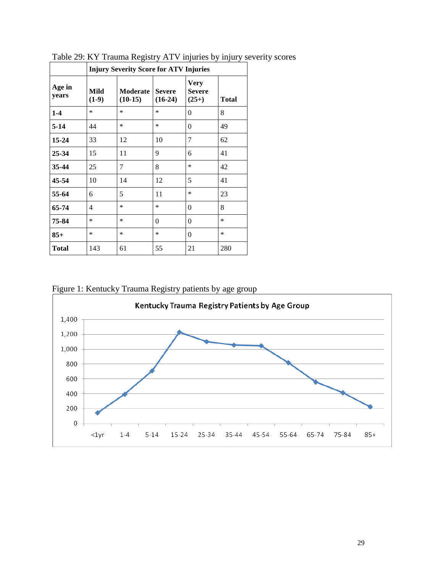|                 | <b>Injury Severity Score for ATV Injuries</b> |                       |                            |                                         |              |  |  |  |  |  |  |
|-----------------|-----------------------------------------------|-----------------------|----------------------------|-----------------------------------------|--------------|--|--|--|--|--|--|
| Age in<br>years | Mild<br>$(1-9)$                               | Moderate<br>$(10-15)$ | <b>Severe</b><br>$(16-24)$ | <b>Very</b><br><b>Severe</b><br>$(25+)$ | <b>Total</b> |  |  |  |  |  |  |
| $1-4$           | *                                             | $\ast$                | $\ast$                     | $\theta$                                | 8            |  |  |  |  |  |  |
| $5-14$          | 44                                            | $\ast$                | $\ast$                     | $\theta$                                | 49           |  |  |  |  |  |  |
| $15 - 24$       | 33                                            | 12                    | 10                         | 7                                       | 62           |  |  |  |  |  |  |
| 25-34           | 15                                            | 11                    | 9                          | 6                                       | 41           |  |  |  |  |  |  |
| 35-44           | 25                                            | 7                     | 8                          | $\ast$                                  | 42           |  |  |  |  |  |  |
| 45-54           | 10                                            | 14                    | 12                         | 5                                       | 41           |  |  |  |  |  |  |
| 55-64           | 6                                             | 5                     | 11                         | $\ast$                                  | 23           |  |  |  |  |  |  |
| 65-74           | 4                                             | $\ast$                | $\ast$                     | $\theta$                                | 8            |  |  |  |  |  |  |
| 75-84           | *                                             | $\ast$                | $\Omega$                   | $\theta$                                | *            |  |  |  |  |  |  |
| $85+$           | *                                             | $\ast$                | $\ast$                     | $\theta$                                | *            |  |  |  |  |  |  |
| Total           | 143                                           | 61                    | 55                         | 21                                      | 280          |  |  |  |  |  |  |

<span id="page-28-0"></span>Table 29: KY Trauma Registry ATV injuries by injury severity scores

<span id="page-28-1"></span>Figure 1: Kentucky Trauma Registry patients by age group